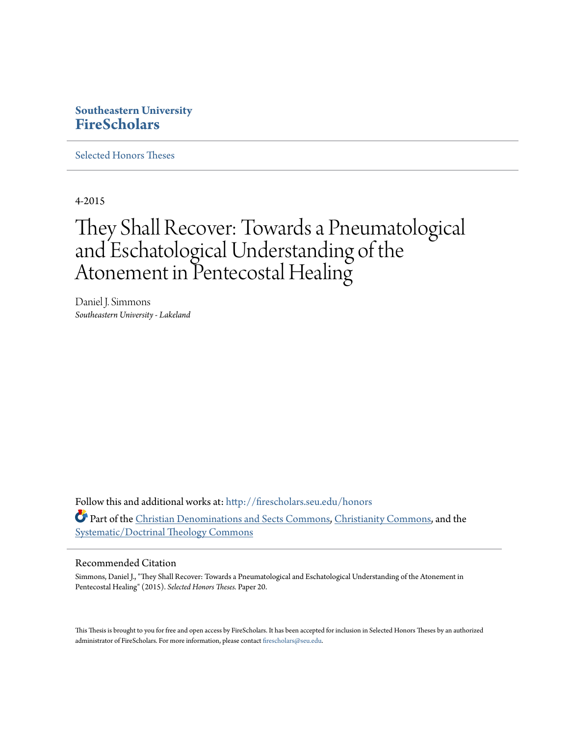# **Southeastern University [FireScholars](http://firescholars.seu.edu?utm_source=firescholars.seu.edu%2Fhonors%2F20&utm_medium=PDF&utm_campaign=PDFCoverPages)**

[Selected Honors Theses](http://firescholars.seu.edu/honors?utm_source=firescholars.seu.edu%2Fhonors%2F20&utm_medium=PDF&utm_campaign=PDFCoverPages)

4-2015

# They Shall Recover: Towards a Pneumatological and Eschatological Understanding of the Atonement in Pentecostal Healing

Daniel J. Simmons *Southeastern University - Lakeland*

Follow this and additional works at: [http://firescholars.seu.edu/honors](http://firescholars.seu.edu/honors?utm_source=firescholars.seu.edu%2Fhonors%2F20&utm_medium=PDF&utm_campaign=PDFCoverPages) Part of the [Christian Denominations and Sects Commons](http://network.bepress.com/hgg/discipline/1184?utm_source=firescholars.seu.edu%2Fhonors%2F20&utm_medium=PDF&utm_campaign=PDFCoverPages), [Christianity Commons,](http://network.bepress.com/hgg/discipline/1181?utm_source=firescholars.seu.edu%2Fhonors%2F20&utm_medium=PDF&utm_campaign=PDFCoverPages) and the [Systematic/Doctrinal Theology Commons](http://network.bepress.com/hgg/discipline/1185?utm_source=firescholars.seu.edu%2Fhonors%2F20&utm_medium=PDF&utm_campaign=PDFCoverPages)

## Recommended Citation

Simmons, Daniel J., "They Shall Recover: Towards a Pneumatological and Eschatological Understanding of the Atonement in Pentecostal Healing" (2015). *Selected Honors Theses.* Paper 20.

This Thesis is brought to you for free and open access by FireScholars. It has been accepted for inclusion in Selected Honors Theses by an authorized administrator of FireScholars. For more information, please contact [firescholars@seu.edu](mailto:firescholars@seu.edu).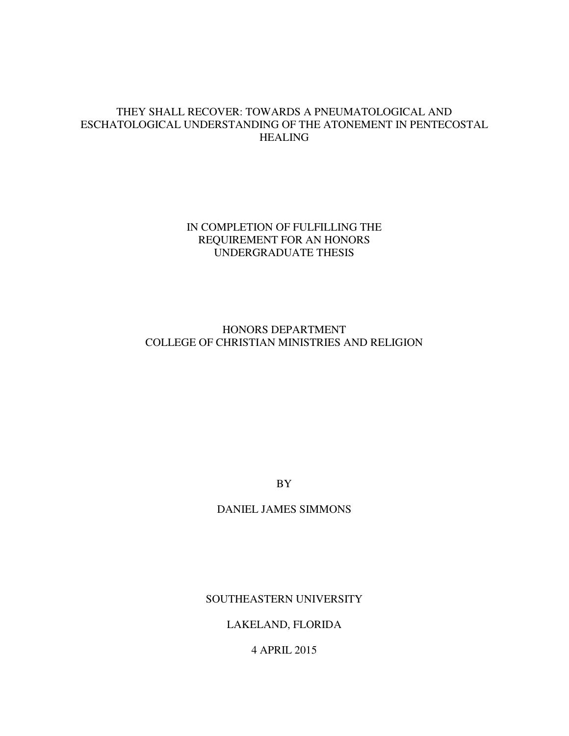# THEY SHALL RECOVER: TOWARDS A PNEUMATOLOGICAL AND ESCHATOLOGICAL UNDERSTANDING OF THE ATONEMENT IN PENTECOSTAL HEALING

# IN COMPLETION OF FULFILLING THE REQUIREMENT FOR AN HONORS UNDERGRADUATE THESIS

# HONORS DEPARTMENT COLLEGE OF CHRISTIAN MINISTRIES AND RELIGION

BY

DANIEL JAMES SIMMONS

SOUTHEASTERN UNIVERSITY

LAKELAND, FLORIDA

4 APRIL 2015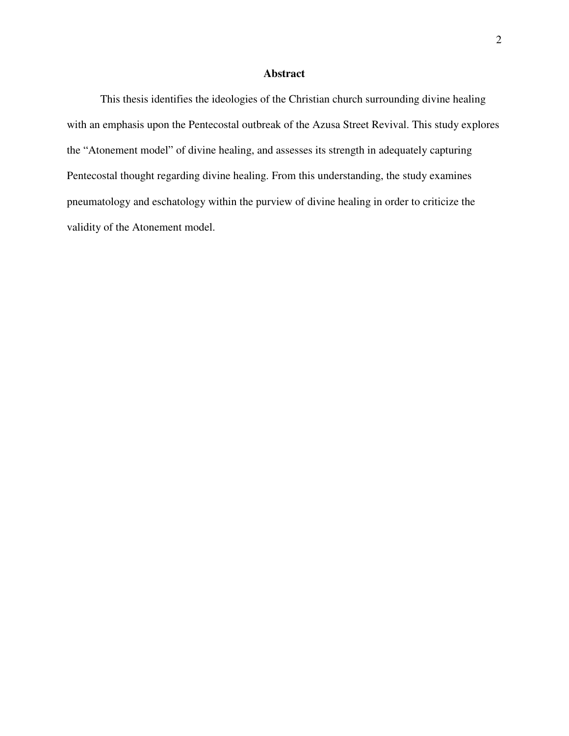## **Abstract**

 This thesis identifies the ideologies of the Christian church surrounding divine healing with an emphasis upon the Pentecostal outbreak of the Azusa Street Revival. This study explores the "Atonement model" of divine healing, and assesses its strength in adequately capturing Pentecostal thought regarding divine healing. From this understanding, the study examines pneumatology and eschatology within the purview of divine healing in order to criticize the validity of the Atonement model.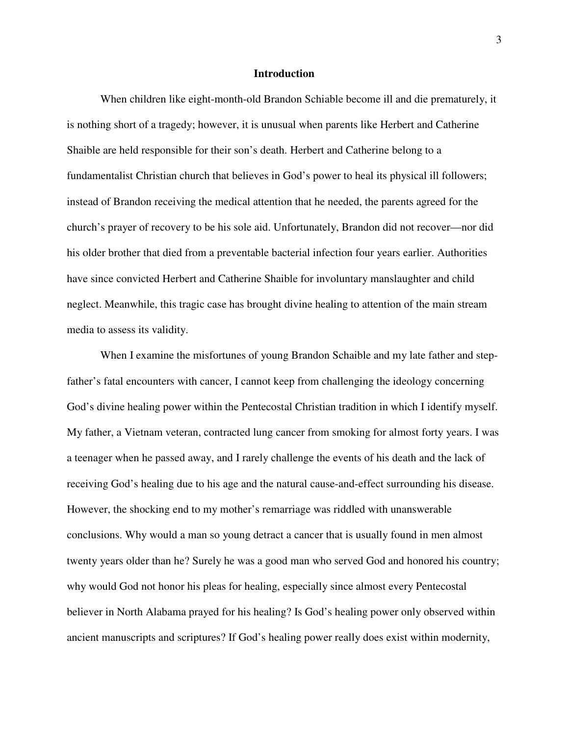#### **Introduction**

When children like eight-month-old Brandon Schiable become ill and die prematurely, it is nothing short of a tragedy; however, it is unusual when parents like Herbert and Catherine Shaible are held responsible for their son's death. Herbert and Catherine belong to a fundamentalist Christian church that believes in God's power to heal its physical ill followers; instead of Brandon receiving the medical attention that he needed, the parents agreed for the church's prayer of recovery to be his sole aid. Unfortunately, Brandon did not recover—nor did his older brother that died from a preventable bacterial infection four years earlier. Authorities have since convicted Herbert and Catherine Shaible for involuntary manslaughter and child neglect. Meanwhile, this tragic case has brought divine healing to attention of the main stream media to assess its validity.

When I examine the misfortunes of young Brandon Schaible and my late father and stepfather's fatal encounters with cancer, I cannot keep from challenging the ideology concerning God's divine healing power within the Pentecostal Christian tradition in which I identify myself. My father, a Vietnam veteran, contracted lung cancer from smoking for almost forty years. I was a teenager when he passed away, and I rarely challenge the events of his death and the lack of receiving God's healing due to his age and the natural cause-and-effect surrounding his disease. However, the shocking end to my mother's remarriage was riddled with unanswerable conclusions. Why would a man so young detract a cancer that is usually found in men almost twenty years older than he? Surely he was a good man who served God and honored his country; why would God not honor his pleas for healing, especially since almost every Pentecostal believer in North Alabama prayed for his healing? Is God's healing power only observed within ancient manuscripts and scriptures? If God's healing power really does exist within modernity,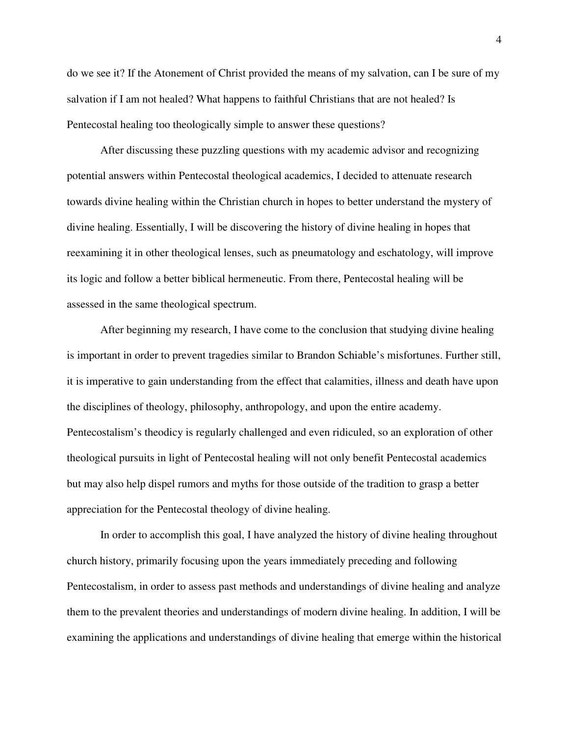do we see it? If the Atonement of Christ provided the means of my salvation, can I be sure of my salvation if I am not healed? What happens to faithful Christians that are not healed? Is Pentecostal healing too theologically simple to answer these questions?

After discussing these puzzling questions with my academic advisor and recognizing potential answers within Pentecostal theological academics, I decided to attenuate research towards divine healing within the Christian church in hopes to better understand the mystery of divine healing. Essentially, I will be discovering the history of divine healing in hopes that reexamining it in other theological lenses, such as pneumatology and eschatology, will improve its logic and follow a better biblical hermeneutic. From there, Pentecostal healing will be assessed in the same theological spectrum.

 After beginning my research, I have come to the conclusion that studying divine healing is important in order to prevent tragedies similar to Brandon Schiable's misfortunes. Further still, it is imperative to gain understanding from the effect that calamities, illness and death have upon the disciplines of theology, philosophy, anthropology, and upon the entire academy. Pentecostalism's theodicy is regularly challenged and even ridiculed, so an exploration of other theological pursuits in light of Pentecostal healing will not only benefit Pentecostal academics but may also help dispel rumors and myths for those outside of the tradition to grasp a better appreciation for the Pentecostal theology of divine healing.

 In order to accomplish this goal, I have analyzed the history of divine healing throughout church history, primarily focusing upon the years immediately preceding and following Pentecostalism, in order to assess past methods and understandings of divine healing and analyze them to the prevalent theories and understandings of modern divine healing. In addition, I will be examining the applications and understandings of divine healing that emerge within the historical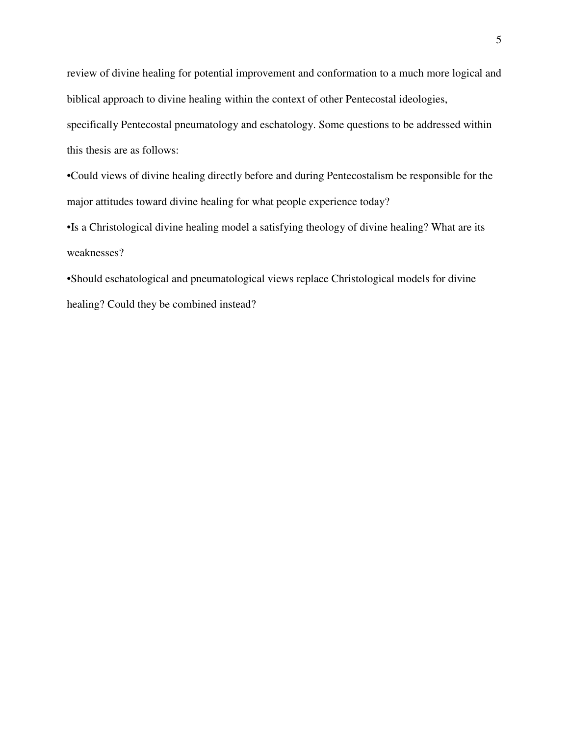review of divine healing for potential improvement and conformation to a much more logical and biblical approach to divine healing within the context of other Pentecostal ideologies,

specifically Pentecostal pneumatology and eschatology. Some questions to be addressed within this thesis are as follows:

•Could views of divine healing directly before and during Pentecostalism be responsible for the major attitudes toward divine healing for what people experience today?

•Is a Christological divine healing model a satisfying theology of divine healing? What are its weaknesses?

•Should eschatological and pneumatological views replace Christological models for divine healing? Could they be combined instead?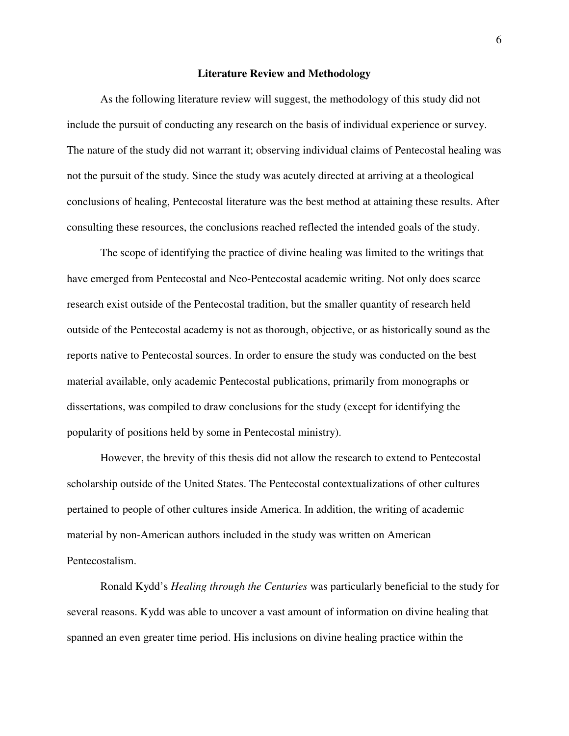#### **Literature Review and Methodology**

As the following literature review will suggest, the methodology of this study did not include the pursuit of conducting any research on the basis of individual experience or survey. The nature of the study did not warrant it; observing individual claims of Pentecostal healing was not the pursuit of the study. Since the study was acutely directed at arriving at a theological conclusions of healing, Pentecostal literature was the best method at attaining these results. After consulting these resources, the conclusions reached reflected the intended goals of the study.

 The scope of identifying the practice of divine healing was limited to the writings that have emerged from Pentecostal and Neo-Pentecostal academic writing. Not only does scarce research exist outside of the Pentecostal tradition, but the smaller quantity of research held outside of the Pentecostal academy is not as thorough, objective, or as historically sound as the reports native to Pentecostal sources. In order to ensure the study was conducted on the best material available, only academic Pentecostal publications, primarily from monographs or dissertations, was compiled to draw conclusions for the study (except for identifying the popularity of positions held by some in Pentecostal ministry).

 However, the brevity of this thesis did not allow the research to extend to Pentecostal scholarship outside of the United States. The Pentecostal contextualizations of other cultures pertained to people of other cultures inside America. In addition, the writing of academic material by non-American authors included in the study was written on American Pentecostalism.

Ronald Kydd's *Healing through the Centuries* was particularly beneficial to the study for several reasons. Kydd was able to uncover a vast amount of information on divine healing that spanned an even greater time period. His inclusions on divine healing practice within the

6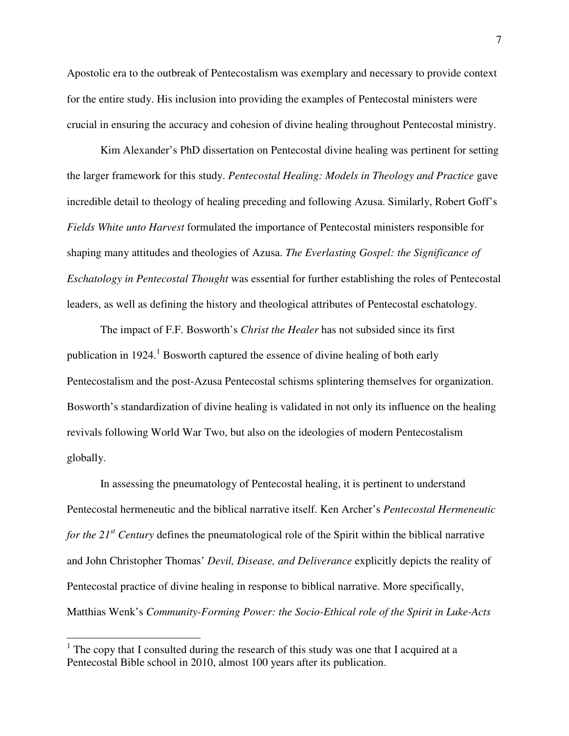Apostolic era to the outbreak of Pentecostalism was exemplary and necessary to provide context for the entire study. His inclusion into providing the examples of Pentecostal ministers were crucial in ensuring the accuracy and cohesion of divine healing throughout Pentecostal ministry.

 Kim Alexander's PhD dissertation on Pentecostal divine healing was pertinent for setting the larger framework for this study. *Pentecostal Healing: Models in Theology and Practice* gave incredible detail to theology of healing preceding and following Azusa. Similarly, Robert Goff's *Fields White unto Harvest* formulated the importance of Pentecostal ministers responsible for shaping many attitudes and theologies of Azusa. *The Everlasting Gospel: the Significance of Eschatology in Pentecostal Thought* was essential for further establishing the roles of Pentecostal leaders, as well as defining the history and theological attributes of Pentecostal eschatology.

 The impact of F.F. Bosworth's *Christ the Healer* has not subsided since its first publication in  $1924$ .<sup>1</sup> Bosworth captured the essence of divine healing of both early Pentecostalism and the post-Azusa Pentecostal schisms splintering themselves for organization. Bosworth's standardization of divine healing is validated in not only its influence on the healing revivals following World War Two, but also on the ideologies of modern Pentecostalism globally.

 In assessing the pneumatology of Pentecostal healing, it is pertinent to understand Pentecostal hermeneutic and the biblical narrative itself. Ken Archer's *Pentecostal Hermeneutic for the 21st Century* defines the pneumatological role of the Spirit within the biblical narrative and John Christopher Thomas' *Devil, Disease, and Deliverance* explicitly depicts the reality of Pentecostal practice of divine healing in response to biblical narrative. More specifically, Matthias Wenk's *Community-Forming Power: the Socio-Ethical role of the Spirit in Luke-Acts*

 $\overline{\phantom{a}}$ 

 $1$  The copy that I consulted during the research of this study was one that I acquired at a Pentecostal Bible school in 2010, almost 100 years after its publication.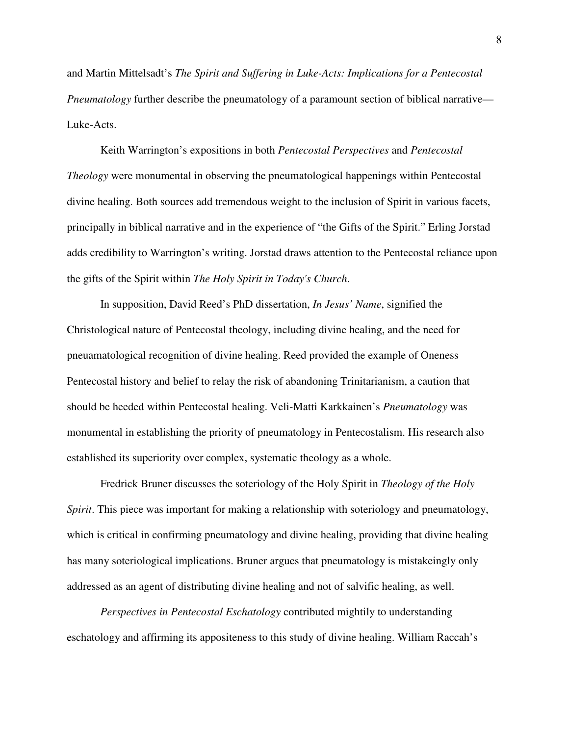and Martin Mittelsadt's *The Spirit and Suffering in Luke-Acts: Implications for a Pentecostal Pneumatology* further describe the pneumatology of a paramount section of biblical narrative— Luke-Acts.

 Keith Warrington's expositions in both *Pentecostal Perspectives* and *Pentecostal Theology* were monumental in observing the pneumatological happenings within Pentecostal divine healing. Both sources add tremendous weight to the inclusion of Spirit in various facets, principally in biblical narrative and in the experience of "the Gifts of the Spirit." Erling Jorstad adds credibility to Warrington's writing. Jorstad draws attention to the Pentecostal reliance upon the gifts of the Spirit within *The Holy Spirit in Today's Church*.

In supposition, David Reed's PhD dissertation, *In Jesus' Name*, signified the Christological nature of Pentecostal theology, including divine healing, and the need for pneuamatological recognition of divine healing. Reed provided the example of Oneness Pentecostal history and belief to relay the risk of abandoning Trinitarianism, a caution that should be heeded within Pentecostal healing. Veli-Matti Karkkainen's *Pneumatology* was monumental in establishing the priority of pneumatology in Pentecostalism. His research also established its superiority over complex, systematic theology as a whole.

 Fredrick Bruner discusses the soteriology of the Holy Spirit in *Theology of the Holy Spirit*. This piece was important for making a relationship with soteriology and pneumatology, which is critical in confirming pneumatology and divine healing, providing that divine healing has many soteriological implications. Bruner argues that pneumatology is mistakeingly only addressed as an agent of distributing divine healing and not of salvific healing, as well.

*Perspectives in Pentecostal Eschatology* contributed mightily to understanding eschatology and affirming its appositeness to this study of divine healing. William Raccah's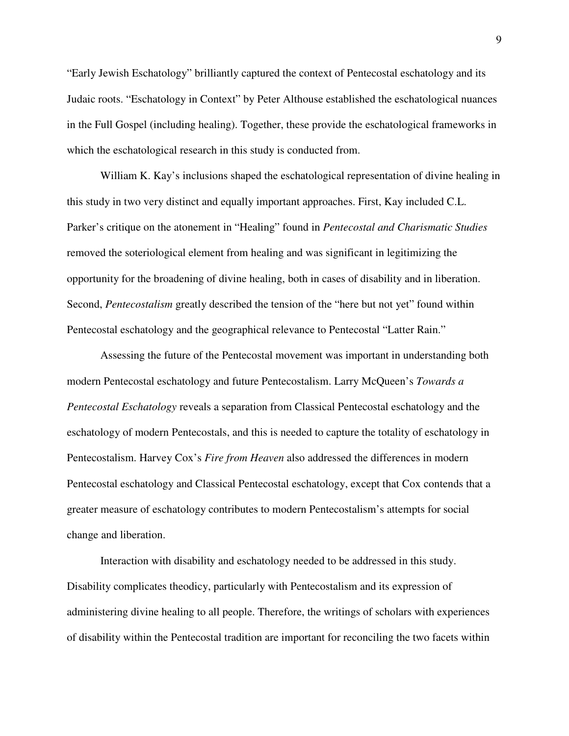"Early Jewish Eschatology" brilliantly captured the context of Pentecostal eschatology and its Judaic roots. "Eschatology in Context" by Peter Althouse established the eschatological nuances in the Full Gospel (including healing). Together, these provide the eschatological frameworks in which the eschatological research in this study is conducted from.

 William K. Kay's inclusions shaped the eschatological representation of divine healing in this study in two very distinct and equally important approaches. First, Kay included C.L. Parker's critique on the atonement in "Healing" found in *Pentecostal and Charismatic Studies* removed the soteriological element from healing and was significant in legitimizing the opportunity for the broadening of divine healing, both in cases of disability and in liberation. Second, *Pentecostalism* greatly described the tension of the "here but not yet" found within Pentecostal eschatology and the geographical relevance to Pentecostal "Latter Rain."

 Assessing the future of the Pentecostal movement was important in understanding both modern Pentecostal eschatology and future Pentecostalism. Larry McQueen's *Towards a Pentecostal Eschatology* reveals a separation from Classical Pentecostal eschatology and the eschatology of modern Pentecostals, and this is needed to capture the totality of eschatology in Pentecostalism. Harvey Cox's *Fire from Heaven* also addressed the differences in modern Pentecostal eschatology and Classical Pentecostal eschatology, except that Cox contends that a greater measure of eschatology contributes to modern Pentecostalism's attempts for social change and liberation.

 Interaction with disability and eschatology needed to be addressed in this study. Disability complicates theodicy, particularly with Pentecostalism and its expression of administering divine healing to all people. Therefore, the writings of scholars with experiences of disability within the Pentecostal tradition are important for reconciling the two facets within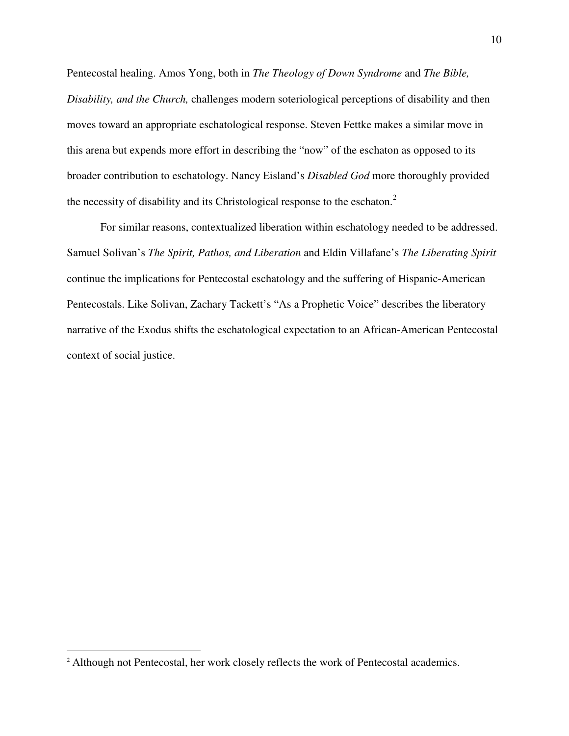Pentecostal healing. Amos Yong, both in *The Theology of Down Syndrome* and *The Bible, Disability, and the Church,* challenges modern soteriological perceptions of disability and then moves toward an appropriate eschatological response. Steven Fettke makes a similar move in this arena but expends more effort in describing the "now" of the eschaton as opposed to its broader contribution to eschatology. Nancy Eisland's *Disabled God* more thoroughly provided the necessity of disability and its Christological response to the eschaton.<sup>2</sup>

 For similar reasons, contextualized liberation within eschatology needed to be addressed. Samuel Solivan's *The Spirit, Pathos, and Liberation* and Eldin Villafane's *The Liberating Spirit*  continue the implications for Pentecostal eschatology and the suffering of Hispanic-American Pentecostals. Like Solivan, Zachary Tackett's "As a Prophetic Voice" describes the liberatory narrative of the Exodus shifts the eschatological expectation to an African-American Pentecostal context of social justice.

<sup>&</sup>lt;sup>2</sup> Although not Pentecostal, her work closely reflects the work of Pentecostal academics.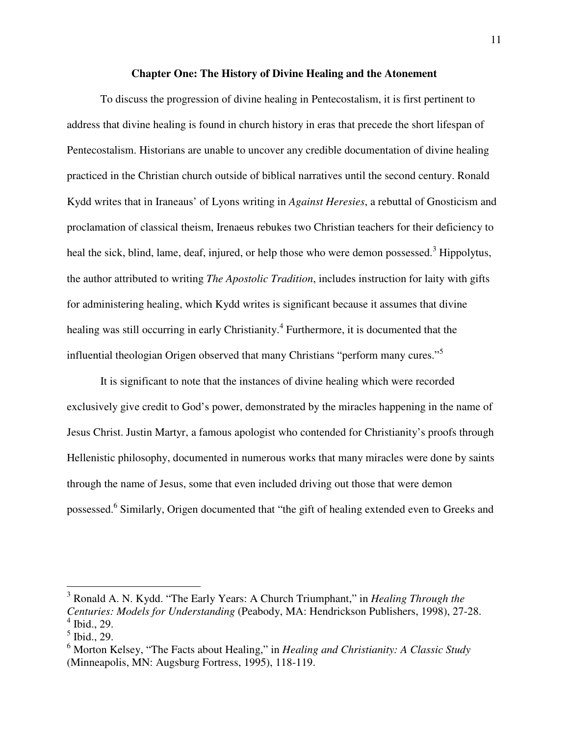#### **Chapter One: The History of Divine Healing and the Atonement**

To discuss the progression of divine healing in Pentecostalism, it is first pertinent to address that divine healing is found in church history in eras that precede the short lifespan of Pentecostalism. Historians are unable to uncover any credible documentation of divine healing practiced in the Christian church outside of biblical narratives until the second century. Ronald Kydd writes that in Iraneaus' of Lyons writing in *Against Heresies*, a rebuttal of Gnosticism and proclamation of classical theism, Irenaeus rebukes two Christian teachers for their deficiency to heal the sick, blind, lame, deaf, injured, or help those who were demon possessed.<sup>3</sup> Hippolytus, the author attributed to writing *The Apostolic Tradition*, includes instruction for laity with gifts for administering healing, which Kydd writes is significant because it assumes that divine healing was still occurring in early Christianity.<sup>4</sup> Furthermore, it is documented that the influential theologian Origen observed that many Christians "perform many cures."<sup>5</sup>

 It is significant to note that the instances of divine healing which were recorded exclusively give credit to God's power, demonstrated by the miracles happening in the name of Jesus Christ. Justin Martyr, a famous apologist who contended for Christianity's proofs through Hellenistic philosophy, documented in numerous works that many miracles were done by saints through the name of Jesus, some that even included driving out those that were demon possessed.<sup>6</sup> Similarly, Origen documented that "the gift of healing extended even to Greeks and

 3 Ronald A. N. Kydd. "The Early Years: A Church Triumphant," in *Healing Through the Centuries: Models for Understanding* (Peabody, MA: Hendrickson Publishers, 1998), 27-28. 4 Ibid., 29.

 $<sup>5</sup>$  Ibid., 29.</sup>

<sup>6</sup> Morton Kelsey, "The Facts about Healing," in *Healing and Christianity: A Classic Study* (Minneapolis, MN: Augsburg Fortress, 1995), 118-119.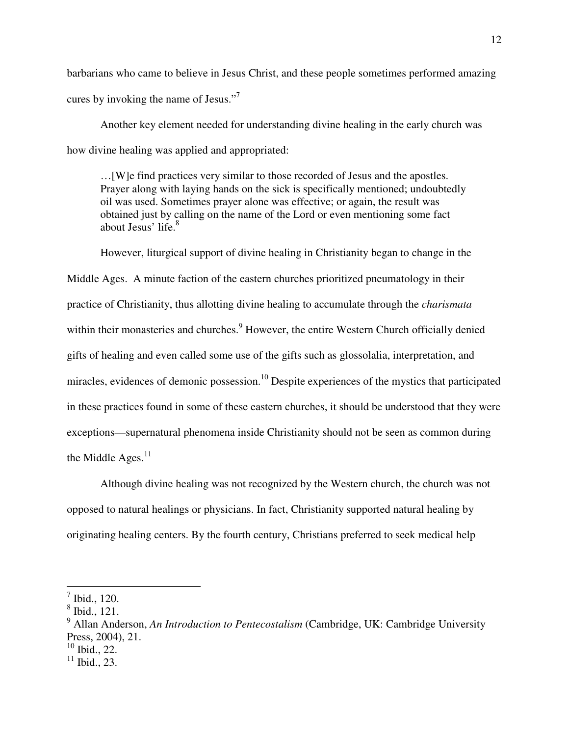barbarians who came to believe in Jesus Christ, and these people sometimes performed amazing cures by invoking the name of Jesus."<sup>7</sup>

 Another key element needed for understanding divine healing in the early church was how divine healing was applied and appropriated:

…[W]e find practices very similar to those recorded of Jesus and the apostles. Prayer along with laying hands on the sick is specifically mentioned; undoubtedly oil was used. Sometimes prayer alone was effective; or again, the result was obtained just by calling on the name of the Lord or even mentioning some fact about Jesus' life. $8<sup>8</sup>$ 

 However, liturgical support of divine healing in Christianity began to change in the Middle Ages. A minute faction of the eastern churches prioritized pneumatology in their practice of Christianity, thus allotting divine healing to accumulate through the *charismata* within their monasteries and churches.<sup>9</sup> However, the entire Western Church officially denied gifts of healing and even called some use of the gifts such as glossolalia, interpretation, and miracles, evidences of demonic possession.<sup>10</sup> Despite experiences of the mystics that participated in these practices found in some of these eastern churches, it should be understood that they were exceptions—supernatural phenomena inside Christianity should not be seen as common during the Middle Ages. $11$ 

 Although divine healing was not recognized by the Western church, the church was not opposed to natural healings or physicians. In fact, Christianity supported natural healing by originating healing centers. By the fourth century, Christians preferred to seek medical help

 $^7$  Ibid., 120.

<sup>8</sup> Ibid., 121.

<sup>&</sup>lt;sup>9</sup> Allan Anderson, *An Introduction to Pentecostalism* (Cambridge, UK: Cambridge University Press, 2004), 21.

 $10$  Ibid., 22.

 $11$  Ibid., 23.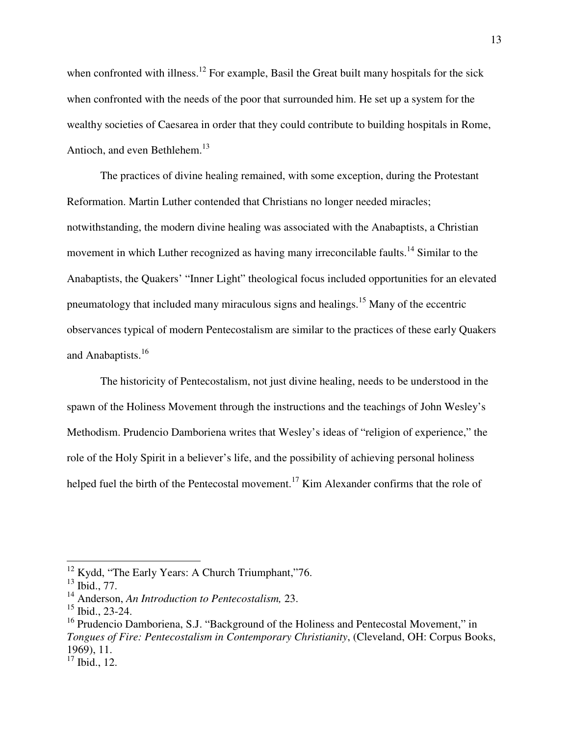when confronted with illness.<sup>12</sup> For example, Basil the Great built many hospitals for the sick when confronted with the needs of the poor that surrounded him. He set up a system for the wealthy societies of Caesarea in order that they could contribute to building hospitals in Rome, Antioch, and even Bethlehem.<sup>13</sup>

 The practices of divine healing remained, with some exception, during the Protestant Reformation. Martin Luther contended that Christians no longer needed miracles; notwithstanding, the modern divine healing was associated with the Anabaptists, a Christian movement in which Luther recognized as having many irreconcilable faults.<sup>14</sup> Similar to the Anabaptists, the Quakers' "Inner Light" theological focus included opportunities for an elevated pneumatology that included many miraculous signs and healings.<sup>15</sup> Many of the eccentric observances typical of modern Pentecostalism are similar to the practices of these early Quakers and Anabaptists.<sup>16</sup>

 The historicity of Pentecostalism, not just divine healing, needs to be understood in the spawn of the Holiness Movement through the instructions and the teachings of John Wesley's Methodism. Prudencio Damboriena writes that Wesley's ideas of "religion of experience," the role of the Holy Spirit in a believer's life, and the possibility of achieving personal holiness helped fuel the birth of the Pentecostal movement.<sup>17</sup> Kim Alexander confirms that the role of

 $12$  Kydd, "The Early Years: A Church Triumphant,"76.

 $^{13}$  Ibid., 77.

<sup>14</sup> Anderson, *An Introduction to Pentecostalism,* 23.

 $15$  Ibid., 23-24.

<sup>&</sup>lt;sup>16</sup> Prudencio Damboriena, S.J. "Background of the Holiness and Pentecostal Movement," in *Tongues of Fire: Pentecostalism in Contemporary Christianity*, (Cleveland, OH: Corpus Books, 1969), 11.

 $17$  Ibid., 12.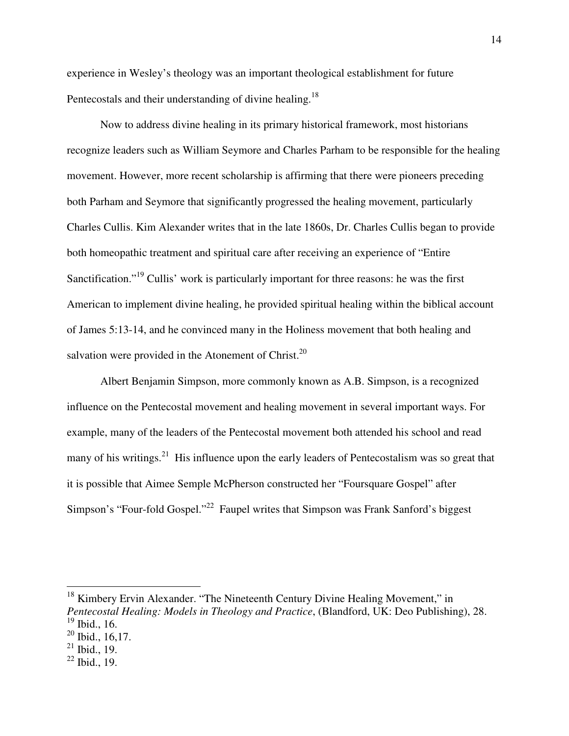experience in Wesley's theology was an important theological establishment for future Pentecostals and their understanding of divine healing.<sup>18</sup>

 Now to address divine healing in its primary historical framework, most historians recognize leaders such as William Seymore and Charles Parham to be responsible for the healing movement. However, more recent scholarship is affirming that there were pioneers preceding both Parham and Seymore that significantly progressed the healing movement, particularly Charles Cullis. Kim Alexander writes that in the late 1860s, Dr. Charles Cullis began to provide both homeopathic treatment and spiritual care after receiving an experience of "Entire Sanctification."<sup>19</sup> Cullis' work is particularly important for three reasons: he was the first American to implement divine healing, he provided spiritual healing within the biblical account of James 5:13-14, and he convinced many in the Holiness movement that both healing and salvation were provided in the Atonement of Christ.<sup>20</sup>

Albert Benjamin Simpson, more commonly known as A.B. Simpson, is a recognized influence on the Pentecostal movement and healing movement in several important ways. For example, many of the leaders of the Pentecostal movement both attended his school and read many of his writings.<sup>21</sup> His influence upon the early leaders of Pentecostalism was so great that it is possible that Aimee Semple McPherson constructed her "Foursquare Gospel" after Simpson's "Four-fold Gospel."<sup>22</sup> Faupel writes that Simpson was Frank Sanford's biggest

<sup>&</sup>lt;sup>18</sup> Kimbery Ervin Alexander. "The Nineteenth Century Divine Healing Movement," in *Pentecostal Healing: Models in Theology and Practice*, (Blandford, UK: Deo Publishing), 28. <sup>19</sup> Ibid., 16.

 $20$  Ibid., 16,17.

 $21$  Ibid., 19.

 $22$  Ibid., 19.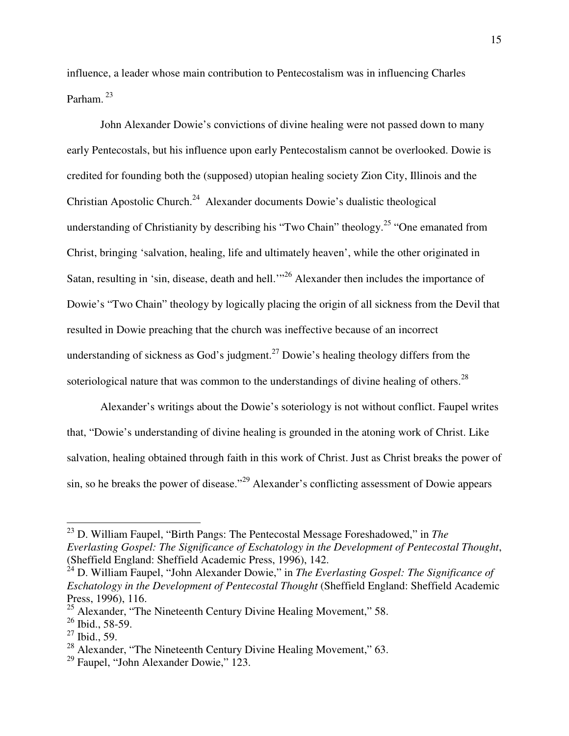influence, a leader whose main contribution to Pentecostalism was in influencing Charles Parham.<sup>23</sup>

 John Alexander Dowie's convictions of divine healing were not passed down to many early Pentecostals, but his influence upon early Pentecostalism cannot be overlooked. Dowie is credited for founding both the (supposed) utopian healing society Zion City, Illinois and the Christian Apostolic Church.<sup>24</sup> Alexander documents Dowie's dualistic theological understanding of Christianity by describing his "Two Chain" theology.<sup>25</sup> "One emanated from Christ, bringing 'salvation, healing, life and ultimately heaven', while the other originated in Satan, resulting in 'sin, disease, death and hell."<sup>26</sup> Alexander then includes the importance of Dowie's "Two Chain" theology by logically placing the origin of all sickness from the Devil that resulted in Dowie preaching that the church was ineffective because of an incorrect understanding of sickness as God's judgment.<sup>27</sup> Dowie's healing theology differs from the soteriological nature that was common to the understandings of divine healing of others.<sup>28</sup>

Alexander's writings about the Dowie's soteriology is not without conflict. Faupel writes that, "Dowie's understanding of divine healing is grounded in the atoning work of Christ. Like salvation, healing obtained through faith in this work of Christ. Just as Christ breaks the power of sin, so he breaks the power of disease."<sup>29</sup> Alexander's conflicting assessment of Dowie appears

<sup>23</sup> D. William Faupel, "Birth Pangs: The Pentecostal Message Foreshadowed," in *The Everlasting Gospel: The Significance of Eschatology in the Development of Pentecostal Thought*, (Sheffield England: Sheffield Academic Press, 1996), 142.

<sup>&</sup>lt;sup>24</sup> D. William Faupel, "John Alexander Dowie," in *The Everlasting Gospel: The Significance of Eschatology in the Development of Pentecostal Thought* (Sheffield England: Sheffield Academic Press, 1996), 116.

 $25$  Alexander, "The Nineteenth Century Divine Healing Movement," 58.

<sup>26</sup> Ibid., 58-59.

 $27$  Ibid., 59.

<sup>&</sup>lt;sup>28</sup> Alexander, "The Nineteenth Century Divine Healing Movement," 63.

 $29$  Faupel, "John Alexander Dowie," 123.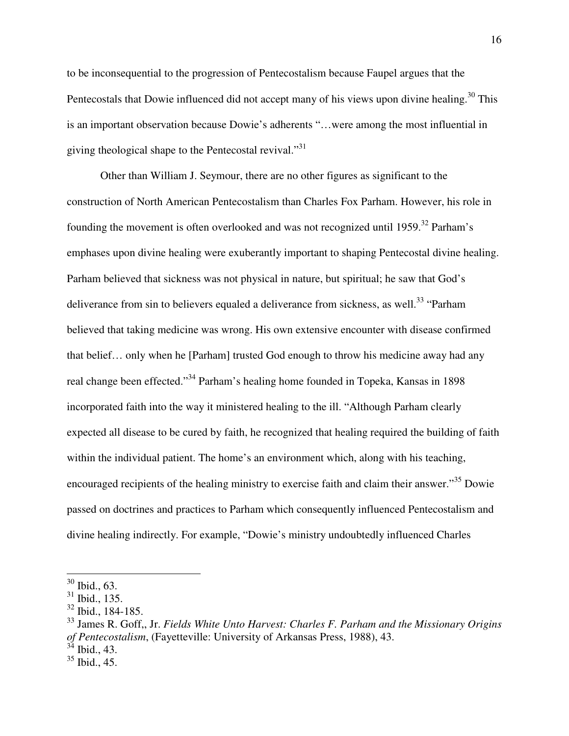to be inconsequential to the progression of Pentecostalism because Faupel argues that the Pentecostals that Dowie influenced did not accept many of his views upon divine healing.<sup>30</sup> This is an important observation because Dowie's adherents "…were among the most influential in giving theological shape to the Pentecostal revival."<sup>31</sup>

Other than William J. Seymour, there are no other figures as significant to the construction of North American Pentecostalism than Charles Fox Parham. However, his role in founding the movement is often overlooked and was not recognized until 1959.<sup>32</sup> Parham's emphases upon divine healing were exuberantly important to shaping Pentecostal divine healing. Parham believed that sickness was not physical in nature, but spiritual; he saw that God's deliverance from sin to believers equaled a deliverance from sickness, as well.<sup>33</sup> "Parham" believed that taking medicine was wrong. His own extensive encounter with disease confirmed that belief… only when he [Parham] trusted God enough to throw his medicine away had any real change been effected."<sup>34</sup> Parham's healing home founded in Topeka, Kansas in 1898 incorporated faith into the way it ministered healing to the ill. "Although Parham clearly expected all disease to be cured by faith, he recognized that healing required the building of faith within the individual patient. The home's an environment which, along with his teaching, encouraged recipients of the healing ministry to exercise faith and claim their answer."<sup>35</sup> Dowie passed on doctrines and practices to Parham which consequently influenced Pentecostalism and divine healing indirectly. For example, "Dowie's ministry undoubtedly influenced Charles

 $\overline{a}$ 

Ibid., 43.

 $30$  Ibid., 63.

 $31$  Ibid., 135.

<sup>32</sup> Ibid., 184-185.

<sup>33</sup> James R. Goff,, Jr. *Fields White Unto Harvest: Charles F. Parham and the Missionary Origins of Pentecostalism*, (Fayetteville: University of Arkansas Press, 1988), 43.

 $35$  Ibid., 45.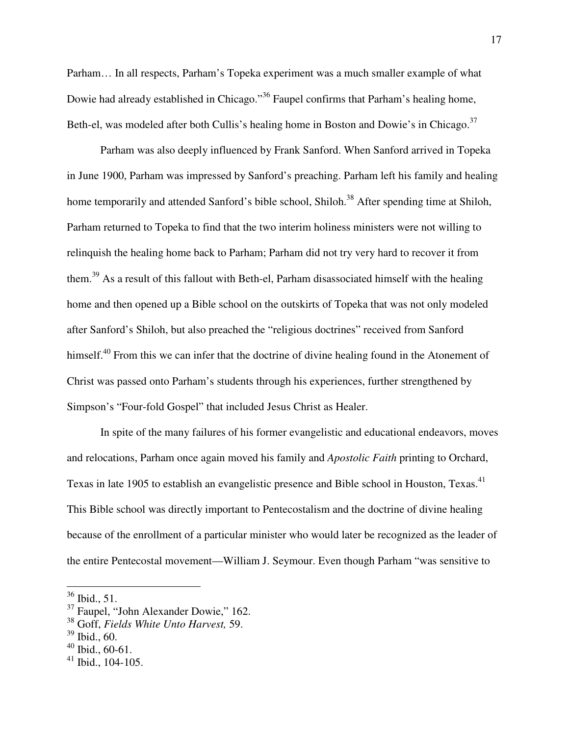Parham… In all respects, Parham's Topeka experiment was a much smaller example of what Dowie had already established in Chicago."<sup>36</sup> Faupel confirms that Parham's healing home, Beth-el, was modeled after both Cullis's healing home in Boston and Dowie's in Chicago.<sup>37</sup>

Parham was also deeply influenced by Frank Sanford. When Sanford arrived in Topeka in June 1900, Parham was impressed by Sanford's preaching. Parham left his family and healing home temporarily and attended Sanford's bible school, Shiloh.<sup>38</sup> After spending time at Shiloh, Parham returned to Topeka to find that the two interim holiness ministers were not willing to relinquish the healing home back to Parham; Parham did not try very hard to recover it from them.<sup>39</sup> As a result of this fallout with Beth-el, Parham disassociated himself with the healing home and then opened up a Bible school on the outskirts of Topeka that was not only modeled after Sanford's Shiloh, but also preached the "religious doctrines" received from Sanford himself.<sup>40</sup> From this we can infer that the doctrine of divine healing found in the Atonement of Christ was passed onto Parham's students through his experiences, further strengthened by Simpson's "Four-fold Gospel" that included Jesus Christ as Healer.

 In spite of the many failures of his former evangelistic and educational endeavors, moves and relocations, Parham once again moved his family and *Apostolic Faith* printing to Orchard, Texas in late 1905 to establish an evangelistic presence and Bible school in Houston, Texas.<sup>41</sup> This Bible school was directly important to Pentecostalism and the doctrine of divine healing because of the enrollment of a particular minister who would later be recognized as the leader of the entire Pentecostal movement—William J. Seymour. Even though Parham "was sensitive to

<u>.</u>

 $36$  Ibid., 51.

<sup>37</sup> Faupel, "John Alexander Dowie," 162.

<sup>38</sup> Goff, *Fields White Unto Harvest,* 59.

 $39$  Ibid., 60.

 $40$  Ibid., 60-61.

 $41$  Ibid., 104-105.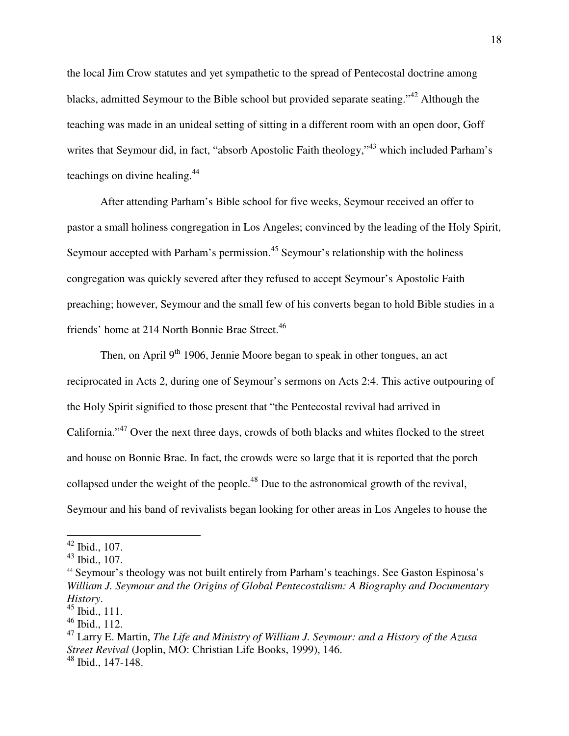the local Jim Crow statutes and yet sympathetic to the spread of Pentecostal doctrine among blacks, admitted Seymour to the Bible school but provided separate seating."<sup>42</sup> Although the teaching was made in an unideal setting of sitting in a different room with an open door, Goff writes that Seymour did, in fact, "absorb Apostolic Faith theology,"<sup>43</sup> which included Parham's teachings on divine healing.<sup>44</sup>

 After attending Parham's Bible school for five weeks, Seymour received an offer to pastor a small holiness congregation in Los Angeles; convinced by the leading of the Holy Spirit, Seymour accepted with Parham's permission.<sup>45</sup> Seymour's relationship with the holiness congregation was quickly severed after they refused to accept Seymour's Apostolic Faith preaching; however, Seymour and the small few of his converts began to hold Bible studies in a friends' home at 214 North Bonnie Brae Street.<sup>46</sup>

Then, on April  $9<sup>th</sup>$  1906, Jennie Moore began to speak in other tongues, an act reciprocated in Acts 2, during one of Seymour's sermons on Acts 2:4. This active outpouring of the Holy Spirit signified to those present that "the Pentecostal revival had arrived in California."<sup>47</sup> Over the next three days, crowds of both blacks and whites flocked to the street and house on Bonnie Brae. In fact, the crowds were so large that it is reported that the porch collapsed under the weight of the people.<sup>48</sup> Due to the astronomical growth of the revival, Seymour and his band of revivalists began looking for other areas in Los Angeles to house the

 $42$  Ibid., 107.

<sup>43</sup> Ibid., 107.

<sup>44</sup> Seymour's theology was not built entirely from Parham's teachings. See Gaston Espinosa's *William J. Seymour and the Origins of Global Pentecostalism: A Biography and Documentary History*.

 $45$  Ibid., 111.

<sup>46</sup> Ibid., 112.

<sup>47</sup> Larry E. Martin, *The Life and Ministry of William J. Seymour: and a History of the Azusa Street Revival* (Joplin, MO: Christian Life Books, 1999), 146. <sup>48</sup> Ibid., 147-148.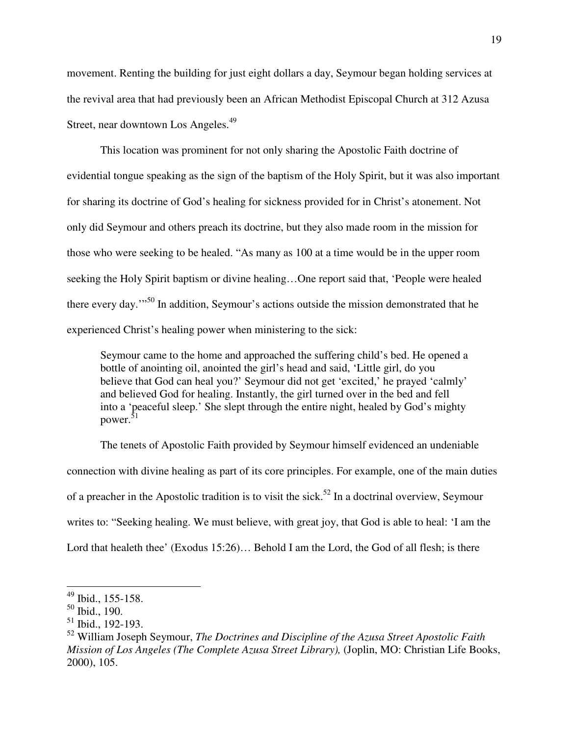movement. Renting the building for just eight dollars a day, Seymour began holding services at the revival area that had previously been an African Methodist Episcopal Church at 312 Azusa Street, near downtown Los Angeles.<sup>49</sup>

This location was prominent for not only sharing the Apostolic Faith doctrine of evidential tongue speaking as the sign of the baptism of the Holy Spirit, but it was also important for sharing its doctrine of God's healing for sickness provided for in Christ's atonement. Not only did Seymour and others preach its doctrine, but they also made room in the mission for those who were seeking to be healed. "As many as 100 at a time would be in the upper room seeking the Holy Spirit baptism or divine healing…One report said that, 'People were healed there every day.'"<sup>50</sup> In addition, Seymour's actions outside the mission demonstrated that he experienced Christ's healing power when ministering to the sick:

Seymour came to the home and approached the suffering child's bed. He opened a bottle of anointing oil, anointed the girl's head and said, 'Little girl, do you believe that God can heal you?' Seymour did not get 'excited,' he prayed 'calmly' and believed God for healing. Instantly, the girl turned over in the bed and fell into a 'peaceful sleep.' She slept through the entire night, healed by God's mighty power. $51$ 

The tenets of Apostolic Faith provided by Seymour himself evidenced an undeniable connection with divine healing as part of its core principles. For example, one of the main duties of a preacher in the Apostolic tradition is to visit the sick.<sup>52</sup> In a doctrinal overview, Seymour writes to: "Seeking healing. We must believe, with great joy, that God is able to heal: 'I am the Lord that healeth thee' (Exodus 15:26)... Behold I am the Lord, the God of all flesh; is there

 $49$  Ibid., 155-158.

 $50$  Ibid., 190.

<sup>&</sup>lt;sup>51</sup> Ibid., 192-193.

<sup>52</sup> William Joseph Seymour, *The Doctrines and Discipline of the Azusa Street Apostolic Faith Mission of Los Angeles (The Complete Azusa Street Library),* (Joplin, MO: Christian Life Books, 2000), 105.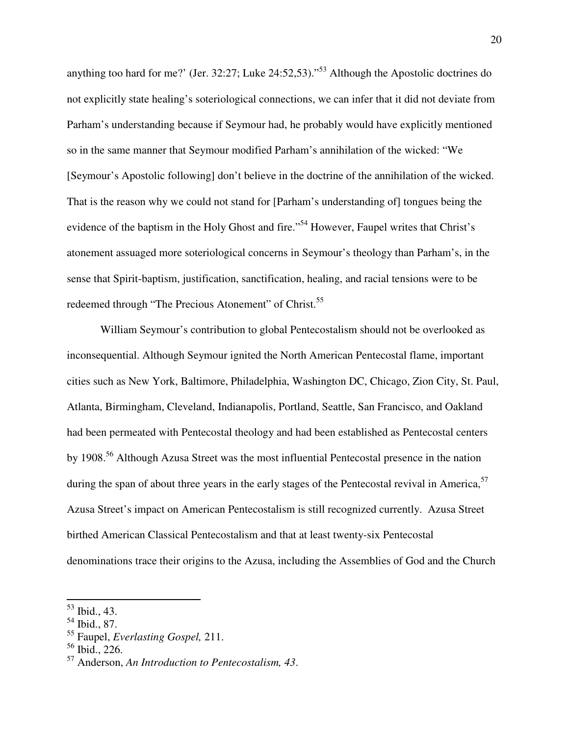anything too hard for me?' (Jer. 32:27; Luke 24:52,53)."<sup>53</sup> Although the Apostolic doctrines do not explicitly state healing's soteriological connections, we can infer that it did not deviate from Parham's understanding because if Seymour had, he probably would have explicitly mentioned so in the same manner that Seymour modified Parham's annihilation of the wicked: "We [Seymour's Apostolic following] don't believe in the doctrine of the annihilation of the wicked. That is the reason why we could not stand for [Parham's understanding of] tongues being the evidence of the baptism in the Holy Ghost and fire."<sup>54</sup> However, Faupel writes that Christ's atonement assuaged more soteriological concerns in Seymour's theology than Parham's, in the sense that Spirit-baptism, justification, sanctification, healing, and racial tensions were to be redeemed through "The Precious Atonement" of Christ.<sup>55</sup>

William Seymour's contribution to global Pentecostalism should not be overlooked as inconsequential. Although Seymour ignited the North American Pentecostal flame, important cities such as New York, Baltimore, Philadelphia, Washington DC, Chicago, Zion City, St. Paul, Atlanta, Birmingham, Cleveland, Indianapolis, Portland, Seattle, San Francisco, and Oakland had been permeated with Pentecostal theology and had been established as Pentecostal centers by 1908.<sup>56</sup> Although Azusa Street was the most influential Pentecostal presence in the nation during the span of about three years in the early stages of the Pentecostal revival in America,  $57$ Azusa Street's impact on American Pentecostalism is still recognized currently. Azusa Street birthed American Classical Pentecostalism and that at least twenty-six Pentecostal denominations trace their origins to the Azusa, including the Assemblies of God and the Church

<sup>53</sup> Ibid., 43.

<sup>54</sup> Ibid., 87.

<sup>55</sup> Faupel, *Everlasting Gospel,* 211.

 $56$  Ibid., 226.

<sup>57</sup> Anderson, *An Introduction to Pentecostalism, 43*.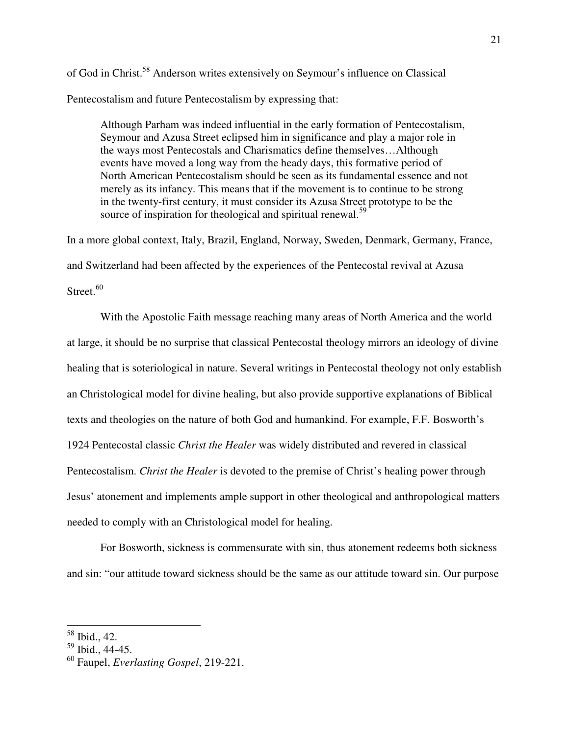of God in Christ.<sup>58</sup> Anderson writes extensively on Seymour's influence on Classical

Pentecostalism and future Pentecostalism by expressing that:

Although Parham was indeed influential in the early formation of Pentecostalism, Seymour and Azusa Street eclipsed him in significance and play a major role in the ways most Pentecostals and Charismatics define themselves…Although events have moved a long way from the heady days, this formative period of North American Pentecostalism should be seen as its fundamental essence and not merely as its infancy. This means that if the movement is to continue to be strong in the twenty-first century, it must consider its Azusa Street prototype to be the source of inspiration for theological and spiritual renewal.<sup>59</sup>

In a more global context, Italy, Brazil, England, Norway, Sweden, Denmark, Germany, France, and Switzerland had been affected by the experiences of the Pentecostal revival at Azusa Street. $60$ 

 With the Apostolic Faith message reaching many areas of North America and the world at large, it should be no surprise that classical Pentecostal theology mirrors an ideology of divine healing that is soteriological in nature. Several writings in Pentecostal theology not only establish an Christological model for divine healing, but also provide supportive explanations of Biblical texts and theologies on the nature of both God and humankind. For example, F.F. Bosworth's 1924 Pentecostal classic *Christ the Healer* was widely distributed and revered in classical Pentecostalism. *Christ the Healer* is devoted to the premise of Christ's healing power through Jesus' atonement and implements ample support in other theological and anthropological matters needed to comply with an Christological model for healing.

For Bosworth, sickness is commensurate with sin, thus atonement redeems both sickness and sin: "our attitude toward sickness should be the same as our attitude toward sin. Our purpose

 $58$  Ibid., 42.

<sup>59</sup> Ibid., 44-45.

<sup>60</sup> Faupel, *Everlasting Gospel*, 219-221.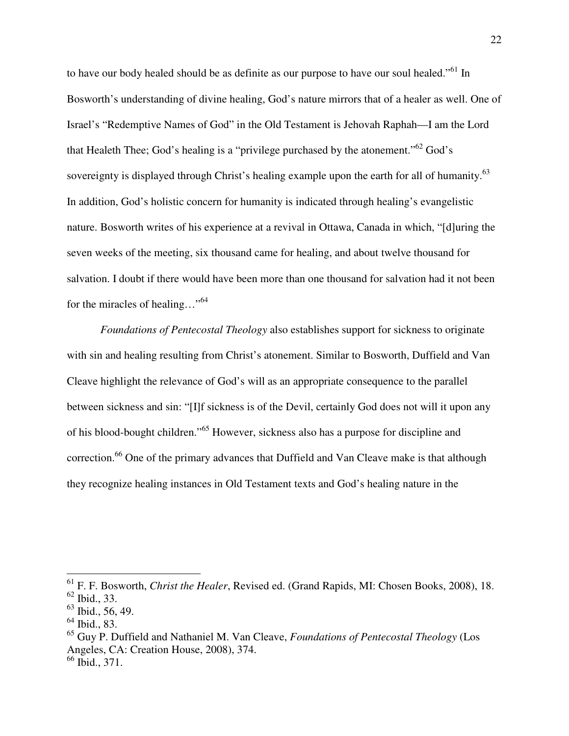to have our body healed should be as definite as our purpose to have our soul healed."<sup>61</sup> In Bosworth's understanding of divine healing, God's nature mirrors that of a healer as well. One of Israel's "Redemptive Names of God" in the Old Testament is Jehovah Raphah—I am the Lord that Healeth Thee; God's healing is a "privilege purchased by the atonement." $62$  God's sovereignty is displayed through Christ's healing example upon the earth for all of humanity.<sup>63</sup> In addition, God's holistic concern for humanity is indicated through healing's evangelistic nature. Bosworth writes of his experience at a revival in Ottawa, Canada in which, "[d]uring the seven weeks of the meeting, six thousand came for healing, and about twelve thousand for salvation. I doubt if there would have been more than one thousand for salvation had it not been for the miracles of healing…"<sup>64</sup>

*Foundations of Pentecostal Theology* also establishes support for sickness to originate with sin and healing resulting from Christ's atonement. Similar to Bosworth, Duffield and Van Cleave highlight the relevance of God's will as an appropriate consequence to the parallel between sickness and sin: "[I]f sickness is of the Devil, certainly God does not will it upon any of his blood-bought children."<sup>65</sup> However, sickness also has a purpose for discipline and correction.<sup>66</sup> One of the primary advances that Duffield and Van Cleave make is that although they recognize healing instances in Old Testament texts and God's healing nature in the

 $\overline{\phantom{a}}$ 

<sup>61</sup> F. F. Bosworth, *Christ the Healer*, Revised ed. (Grand Rapids, MI: Chosen Books, 2008), 18.  $62$  Ibid., 33.

 $63$  Ibid., 56, 49.

<sup>64</sup> Ibid., 83.

<sup>65</sup> Guy P. Duffield and Nathaniel M. Van Cleave, *Foundations of Pentecostal Theology* (Los Angeles, CA: Creation House, 2008), 374.

<sup>66</sup> Ibid., 371.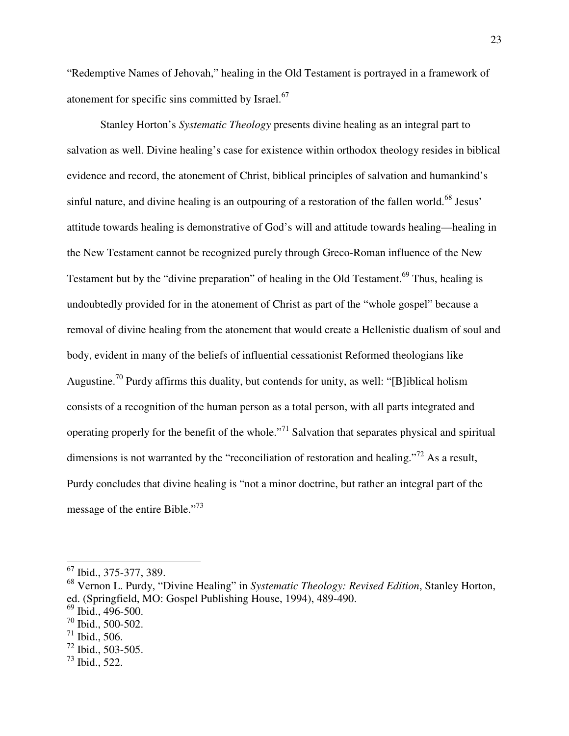"Redemptive Names of Jehovah," healing in the Old Testament is portrayed in a framework of atonement for specific sins committed by Israel.<sup>67</sup>

 Stanley Horton's *Systematic Theology* presents divine healing as an integral part to salvation as well. Divine healing's case for existence within orthodox theology resides in biblical evidence and record, the atonement of Christ, biblical principles of salvation and humankind's sinful nature, and divine healing is an outpouring of a restoration of the fallen world.<sup>68</sup> Jesus' attitude towards healing is demonstrative of God's will and attitude towards healing—healing in the New Testament cannot be recognized purely through Greco-Roman influence of the New Testament but by the "divine preparation" of healing in the Old Testament.<sup>69</sup> Thus, healing is undoubtedly provided for in the atonement of Christ as part of the "whole gospel" because a removal of divine healing from the atonement that would create a Hellenistic dualism of soul and body, evident in many of the beliefs of influential cessationist Reformed theologians like Augustine.<sup>70</sup> Purdy affirms this duality, but contends for unity, as well: "[B]iblical holism consists of a recognition of the human person as a total person, with all parts integrated and operating properly for the benefit of the whole."<sup>71</sup> Salvation that separates physical and spiritual dimensions is not warranted by the "reconciliation of restoration and healing."<sup>72</sup> As a result, Purdy concludes that divine healing is "not a minor doctrine, but rather an integral part of the message of the entire Bible."<sup>73</sup>

 $\frac{67}{1}$  Ibid., 375-377, 389.

<sup>68</sup> Vernon L. Purdy, "Divine Healing" in *Systematic Theology: Revised Edition*, Stanley Horton, ed. (Springfield, MO: Gospel Publishing House, 1994), 489-490.

 $69$  Ibid., 496-500.

<sup>70</sup> Ibid., 500-502.

 $71$  Ibid., 506.

 $^{72}$  Ibid., 503-505.

 $^{73}$  Ibid., 522.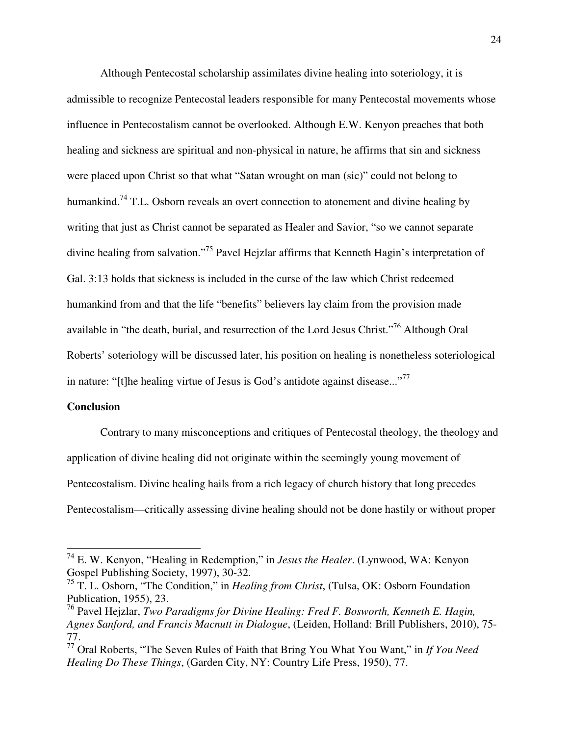Although Pentecostal scholarship assimilates divine healing into soteriology, it is admissible to recognize Pentecostal leaders responsible for many Pentecostal movements whose influence in Pentecostalism cannot be overlooked. Although E.W. Kenyon preaches that both healing and sickness are spiritual and non-physical in nature, he affirms that sin and sickness were placed upon Christ so that what "Satan wrought on man (sic)" could not belong to humankind.<sup>74</sup> T.L. Osborn reveals an overt connection to atonement and divine healing by writing that just as Christ cannot be separated as Healer and Savior, "so we cannot separate divine healing from salvation."<sup>75</sup> Pavel Hejzlar affirms that Kenneth Hagin's interpretation of Gal. 3:13 holds that sickness is included in the curse of the law which Christ redeemed humankind from and that the life "benefits" believers lay claim from the provision made available in "the death, burial, and resurrection of the Lord Jesus Christ."<sup>76</sup> Although Oral Roberts' soteriology will be discussed later, his position on healing is nonetheless soteriological in nature: "[t]he healing virtue of Jesus is God's antidote against disease..."<sup>77</sup>

## **Conclusion**

-

 Contrary to many misconceptions and critiques of Pentecostal theology, the theology and application of divine healing did not originate within the seemingly young movement of Pentecostalism. Divine healing hails from a rich legacy of church history that long precedes Pentecostalism—critically assessing divine healing should not be done hastily or without proper

<sup>74</sup> E. W. Kenyon, "Healing in Redemption," in *Jesus the Healer*. (Lynwood, WA: Kenyon Gospel Publishing Society, 1997), 30-32.

<sup>75</sup> T. L. Osborn, "The Condition," in *Healing from Christ*, (Tulsa, OK: Osborn Foundation Publication, 1955), 23.

<sup>76</sup> Pavel Hejzlar, *Two Paradigms for Divine Healing: Fred F. Bosworth, Kenneth E. Hagin, Agnes Sanford, and Francis Macnutt in Dialogue*, (Leiden, Holland: Brill Publishers, 2010), 75- 77.

<sup>77</sup> Oral Roberts, "The Seven Rules of Faith that Bring You What You Want," in *If You Need Healing Do These Things*, (Garden City, NY: Country Life Press, 1950), 77.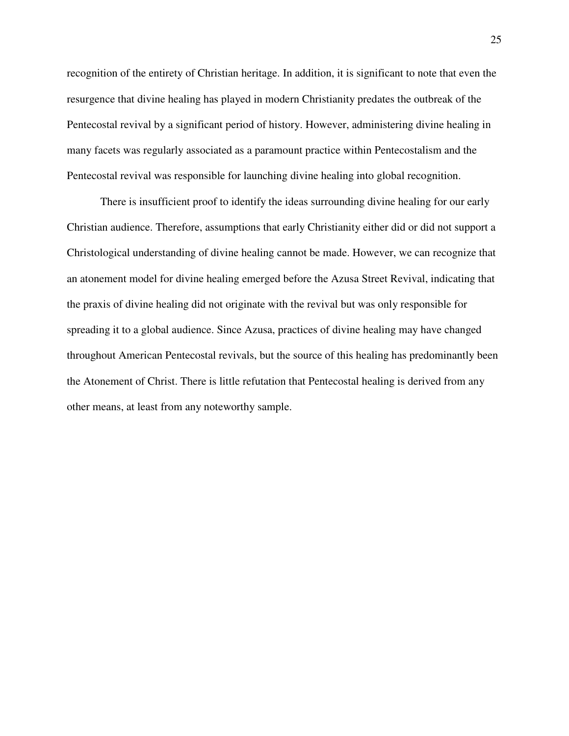recognition of the entirety of Christian heritage. In addition, it is significant to note that even the resurgence that divine healing has played in modern Christianity predates the outbreak of the Pentecostal revival by a significant period of history. However, administering divine healing in many facets was regularly associated as a paramount practice within Pentecostalism and the Pentecostal revival was responsible for launching divine healing into global recognition.

 There is insufficient proof to identify the ideas surrounding divine healing for our early Christian audience. Therefore, assumptions that early Christianity either did or did not support a Christological understanding of divine healing cannot be made. However, we can recognize that an atonement model for divine healing emerged before the Azusa Street Revival, indicating that the praxis of divine healing did not originate with the revival but was only responsible for spreading it to a global audience. Since Azusa, practices of divine healing may have changed throughout American Pentecostal revivals, but the source of this healing has predominantly been the Atonement of Christ. There is little refutation that Pentecostal healing is derived from any other means, at least from any noteworthy sample.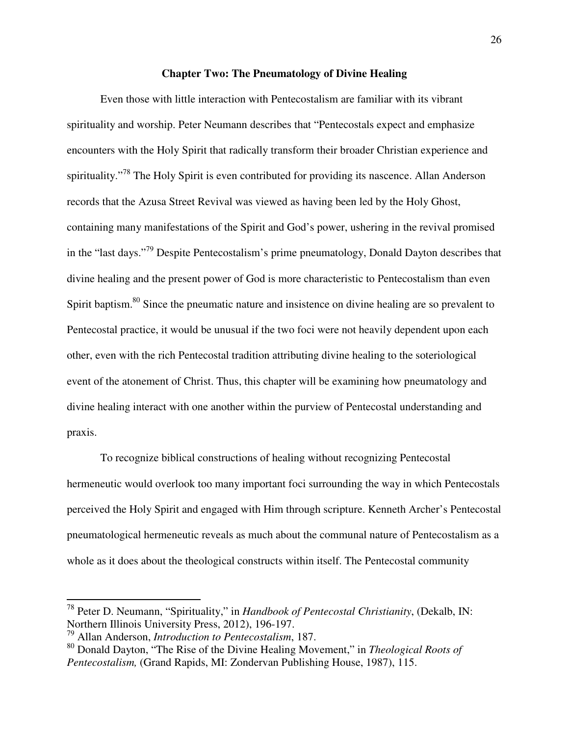### **Chapter Two: The Pneumatology of Divine Healing**

 Even those with little interaction with Pentecostalism are familiar with its vibrant spirituality and worship. Peter Neumann describes that "Pentecostals expect and emphasize encounters with the Holy Spirit that radically transform their broader Christian experience and spirituality."<sup>78</sup> The Holy Spirit is even contributed for providing its nascence. Allan Anderson records that the Azusa Street Revival was viewed as having been led by the Holy Ghost, containing many manifestations of the Spirit and God's power, ushering in the revival promised in the "last days."<sup>79</sup> Despite Pentecostalism's prime pneumatology, Donald Dayton describes that divine healing and the present power of God is more characteristic to Pentecostalism than even Spirit baptism.<sup>80</sup> Since the pneumatic nature and insistence on divine healing are so prevalent to Pentecostal practice, it would be unusual if the two foci were not heavily dependent upon each other, even with the rich Pentecostal tradition attributing divine healing to the soteriological event of the atonement of Christ. Thus, this chapter will be examining how pneumatology and divine healing interact with one another within the purview of Pentecostal understanding and praxis.

 To recognize biblical constructions of healing without recognizing Pentecostal hermeneutic would overlook too many important foci surrounding the way in which Pentecostals perceived the Holy Spirit and engaged with Him through scripture. Kenneth Archer's Pentecostal pneumatological hermeneutic reveals as much about the communal nature of Pentecostalism as a whole as it does about the theological constructs within itself. The Pentecostal community

<sup>78</sup> Peter D. Neumann, "Spirituality," in *Handbook of Pentecostal Christianity*, (Dekalb, IN: Northern Illinois University Press, 2012), 196-197.

<sup>79</sup> Allan Anderson, *Introduction to Pentecostalism*, 187.

<sup>80</sup> Donald Dayton, "The Rise of the Divine Healing Movement," in *Theological Roots of Pentecostalism,* (Grand Rapids, MI: Zondervan Publishing House, 1987), 115.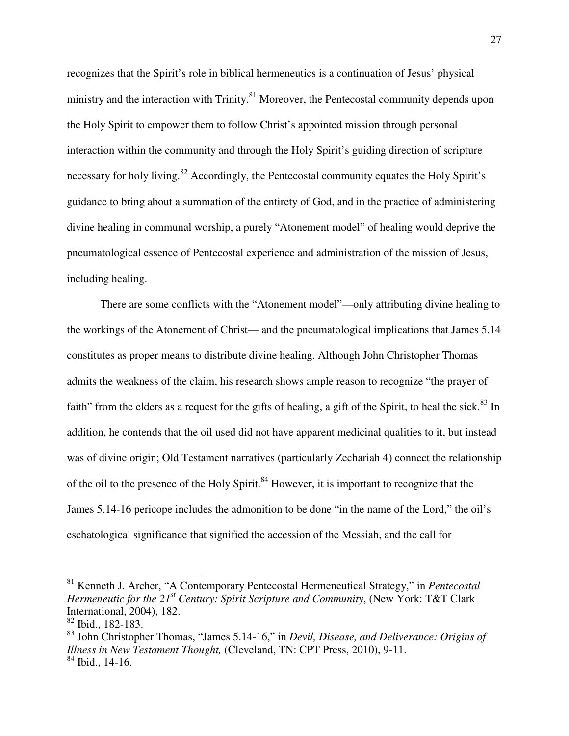recognizes that the Spirit's role in biblical hermeneutics is a continuation of Jesus' physical ministry and the interaction with Trinity.<sup>81</sup> Moreover, the Pentecostal community depends upon the Holy Spirit to empower them to follow Christ's appointed mission through personal interaction within the community and through the Holy Spirit's guiding direction of scripture necessary for holy living.<sup>82</sup> Accordingly, the Pentecostal community equates the Holy Spirit's guidance to bring about a summation of the entirety of God, and in the practice of administering divine healing in communal worship, a purely "Atonement model" of healing would deprive the pneumatological essence of Pentecostal experience and administration of the mission of Jesus, including healing.

 There are some conflicts with the "Atonement model"—only attributing divine healing to the workings of the Atonement of Christ— and the pneumatological implications that James 5.14 constitutes as proper means to distribute divine healing. Although John Christopher Thomas admits the weakness of the claim, his research shows ample reason to recognize "the prayer of faith" from the elders as a request for the gifts of healing, a gift of the Spirit, to heal the sick.<sup>83</sup> In addition, he contends that the oil used did not have apparent medicinal qualities to it, but instead was of divine origin; Old Testament narratives (particularly Zechariah 4) connect the relationship of the oil to the presence of the Holy Spirit.<sup>84</sup> However, it is important to recognize that the James 5.14-16 pericope includes the admonition to be done "in the name of the Lord," the oil's eschatological significance that signified the accession of the Messiah, and the call for

<sup>81</sup> Kenneth J. Archer, "A Contemporary Pentecostal Hermeneutical Strategy," in *Pentecostal Hermeneutic for the 21st Century: Spirit Scripture and Community*, (New York: T&T Clark International, 2004), 182.

<sup>82</sup> Ibid., 182-183.

<sup>83</sup> John Christopher Thomas, "James 5.14-16," in *Devil, Disease, and Deliverance: Origins of Illness in New Testament Thought,* (Cleveland, TN: CPT Press, 2010), 9-11.  $84$  Ibid., 14-16.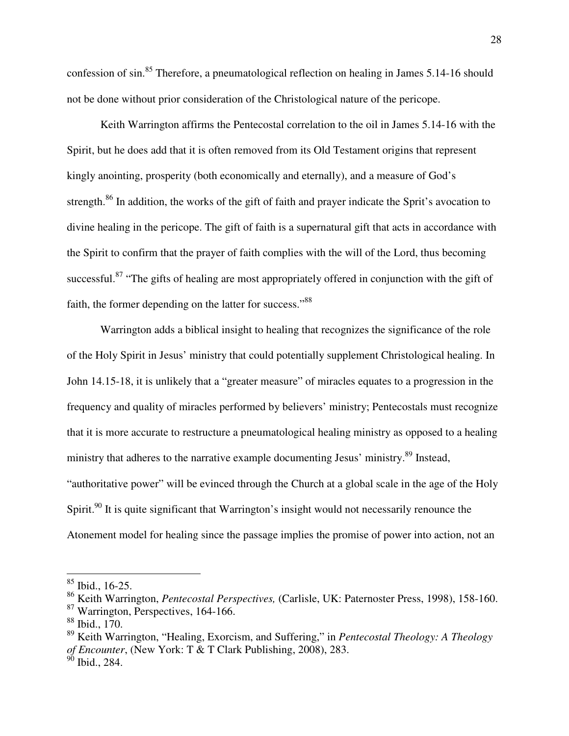confession of sin.<sup>85</sup> Therefore, a pneumatological reflection on healing in James 5.14-16 should not be done without prior consideration of the Christological nature of the pericope.

 Keith Warrington affirms the Pentecostal correlation to the oil in James 5.14-16 with the Spirit, but he does add that it is often removed from its Old Testament origins that represent kingly anointing, prosperity (both economically and eternally), and a measure of God's strength.<sup>86</sup> In addition, the works of the gift of faith and prayer indicate the Sprit's avocation to divine healing in the pericope. The gift of faith is a supernatural gift that acts in accordance with the Spirit to confirm that the prayer of faith complies with the will of the Lord, thus becoming successful.<sup>87</sup> "The gifts of healing are most appropriately offered in conjunction with the gift of faith, the former depending on the latter for success."<sup>88</sup>

 Warrington adds a biblical insight to healing that recognizes the significance of the role of the Holy Spirit in Jesus' ministry that could potentially supplement Christological healing. In John 14.15-18, it is unlikely that a "greater measure" of miracles equates to a progression in the frequency and quality of miracles performed by believers' ministry; Pentecostals must recognize that it is more accurate to restructure a pneumatological healing ministry as opposed to a healing ministry that adheres to the narrative example documenting Jesus' ministry.<sup>89</sup> Instead, "authoritative power" will be evinced through the Church at a global scale in the age of the Holy Spirit.<sup>90</sup> It is quite significant that Warrington's insight would not necessarily renounce the Atonement model for healing since the passage implies the promise of power into action, not an

 $85$  Ibid., 16-25.

<sup>86</sup> Keith Warrington, *Pentecostal Perspectives,* (Carlisle, UK: Paternoster Press, 1998), 158-160.

<sup>87</sup> Warrington, Perspectives, 164-166.

 $88$  Ibid., 170.

<sup>89</sup> Keith Warrington, "Healing, Exorcism, and Suffering," in *Pentecostal Theology: A Theology of Encounter*, (New York: T & T Clark Publishing, 2008), 283.

 $90$  Ibid., 284.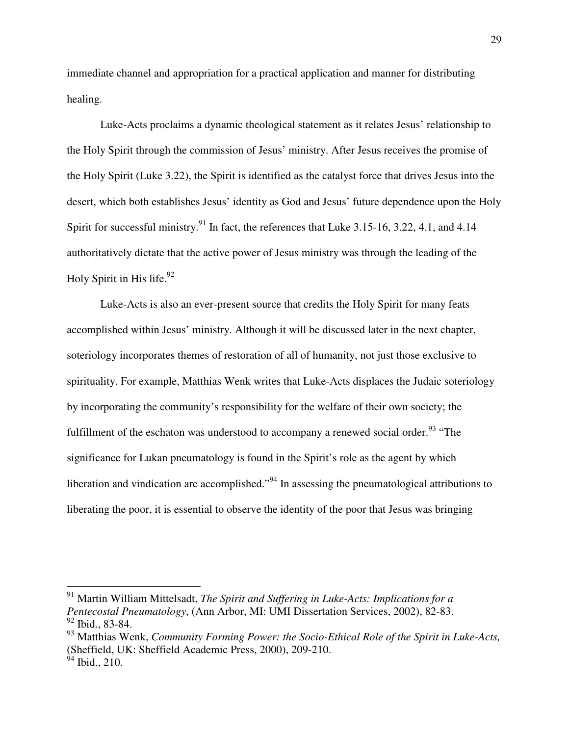immediate channel and appropriation for a practical application and manner for distributing healing.

 Luke-Acts proclaims a dynamic theological statement as it relates Jesus' relationship to the Holy Spirit through the commission of Jesus' ministry. After Jesus receives the promise of the Holy Spirit (Luke 3.22), the Spirit is identified as the catalyst force that drives Jesus into the desert, which both establishes Jesus' identity as God and Jesus' future dependence upon the Holy Spirit for successful ministry.<sup>91</sup> In fact, the references that Luke 3.15-16, 3.22, 4.1, and 4.14 authoritatively dictate that the active power of Jesus ministry was through the leading of the Holy Spirit in His life.<sup>92</sup>

 Luke-Acts is also an ever-present source that credits the Holy Spirit for many feats accomplished within Jesus' ministry. Although it will be discussed later in the next chapter, soteriology incorporates themes of restoration of all of humanity, not just those exclusive to spirituality. For example, Matthias Wenk writes that Luke-Acts displaces the Judaic soteriology by incorporating the community's responsibility for the welfare of their own society; the fulfillment of the eschaton was understood to accompany a renewed social order.<sup>93</sup> "The significance for Lukan pneumatology is found in the Spirit's role as the agent by which liberation and vindication are accomplished."<sup>94</sup> In assessing the pneumatological attributions to liberating the poor, it is essential to observe the identity of the poor that Jesus was bringing

<sup>91</sup> Martin William Mittelsadt, *The Spirit and Suffering in Luke-Acts: Implications for a Pentecostal Pneumatology*, (Ann Arbor, MI: UMI Dissertation Services, 2002), 82-83. <sup>92</sup> Ibid., 83-84.

<sup>93</sup> Matthias Wenk, *Community Forming Power: the Socio-Ethical Role of the Spirit in Luke-Acts,* (Sheffield, UK: Sheffield Academic Press, 2000), 209-210.

 $94$  Ibid., 210.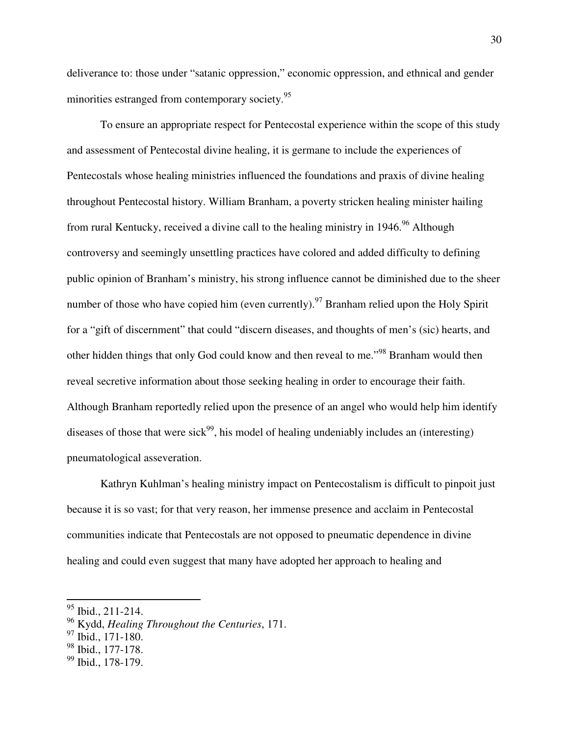deliverance to: those under "satanic oppression," economic oppression, and ethnical and gender minorities estranged from contemporary society.<sup>95</sup>

 To ensure an appropriate respect for Pentecostal experience within the scope of this study and assessment of Pentecostal divine healing, it is germane to include the experiences of Pentecostals whose healing ministries influenced the foundations and praxis of divine healing throughout Pentecostal history. William Branham, a poverty stricken healing minister hailing from rural Kentucky, received a divine call to the healing ministry in 1946.<sup>96</sup> Although controversy and seemingly unsettling practices have colored and added difficulty to defining public opinion of Branham's ministry, his strong influence cannot be diminished due to the sheer number of those who have copied him (even currently).<sup>97</sup> Branham relied upon the Holy Spirit for a "gift of discernment" that could "discern diseases, and thoughts of men's (sic) hearts, and other hidden things that only God could know and then reveal to me."<sup>98</sup> Branham would then reveal secretive information about those seeking healing in order to encourage their faith. Although Branham reportedly relied upon the presence of an angel who would help him identify diseases of those that were sick<sup>99</sup>, his model of healing undeniably includes an (interesting) pneumatological asseveration.

 Kathryn Kuhlman's healing ministry impact on Pentecostalism is difficult to pinpoit just because it is so vast; for that very reason, her immense presence and acclaim in Pentecostal communities indicate that Pentecostals are not opposed to pneumatic dependence in divine healing and could even suggest that many have adopted her approach to healing and

<sup>&</sup>lt;sup>95</sup> Ibid., 211-214.

<sup>96</sup> Kydd, *Healing Throughout the Centuries*, 171.

 $97$  Ibid., 171-180.

 $98$  Ibid., 177-178.

<sup>&</sup>lt;sup>99</sup> Ibid., 178-179.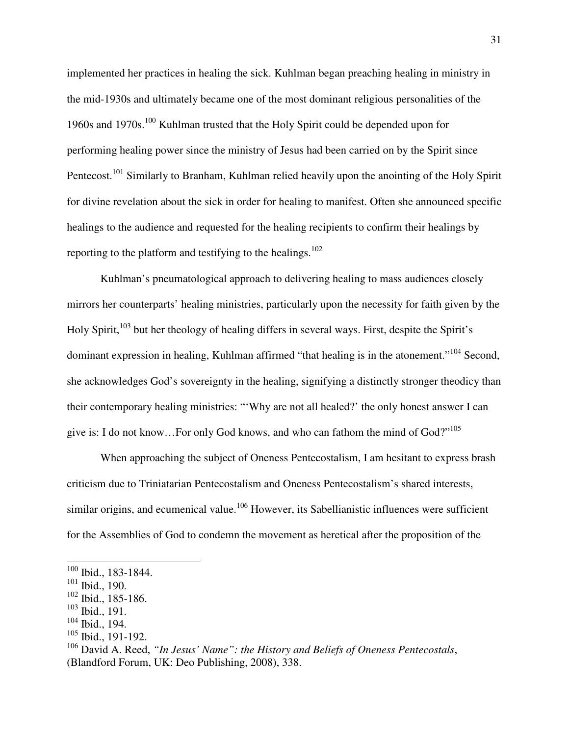implemented her practices in healing the sick. Kuhlman began preaching healing in ministry in the mid-1930s and ultimately became one of the most dominant religious personalities of the 1960s and 1970s.<sup>100</sup> Kuhlman trusted that the Holy Spirit could be depended upon for performing healing power since the ministry of Jesus had been carried on by the Spirit since Pentecost.<sup>101</sup> Similarly to Branham, Kuhlman relied heavily upon the anointing of the Holy Spirit for divine revelation about the sick in order for healing to manifest. Often she announced specific healings to the audience and requested for the healing recipients to confirm their healings by reporting to the platform and testifying to the healings.<sup>102</sup>

 Kuhlman's pneumatological approach to delivering healing to mass audiences closely mirrors her counterparts' healing ministries, particularly upon the necessity for faith given by the Holy Spirit,<sup>103</sup> but her theology of healing differs in several ways. First, despite the Spirit's dominant expression in healing, Kuhlman affirmed "that healing is in the atonement."<sup>104</sup> Second, she acknowledges God's sovereignty in the healing, signifying a distinctly stronger theodicy than their contemporary healing ministries: "'Why are not all healed?' the only honest answer I can give is: I do not know…For only God knows, and who can fathom the mind of God?"<sup>105</sup>

 When approaching the subject of Oneness Pentecostalism, I am hesitant to express brash criticism due to Triniatarian Pentecostalism and Oneness Pentecostalism's shared interests, similar origins, and ecumenical value.<sup>106</sup> However, its Sabellianistic influences were sufficient for the Assemblies of God to condemn the movement as heretical after the proposition of the

-

 $\frac{100}{100}$  Ibid., 183-1844.

 $101$  Ibid., 190.

 $102$  Ibid., 185-186.

 $\frac{103}{104}$  Ibid., 191.

Ibid., 194.

 $105$  Ibid., 191-192.

<sup>106</sup> David A. Reed, *"In Jesus' Name": the History and Beliefs of Oneness Pentecostals*, (Blandford Forum, UK: Deo Publishing, 2008), 338.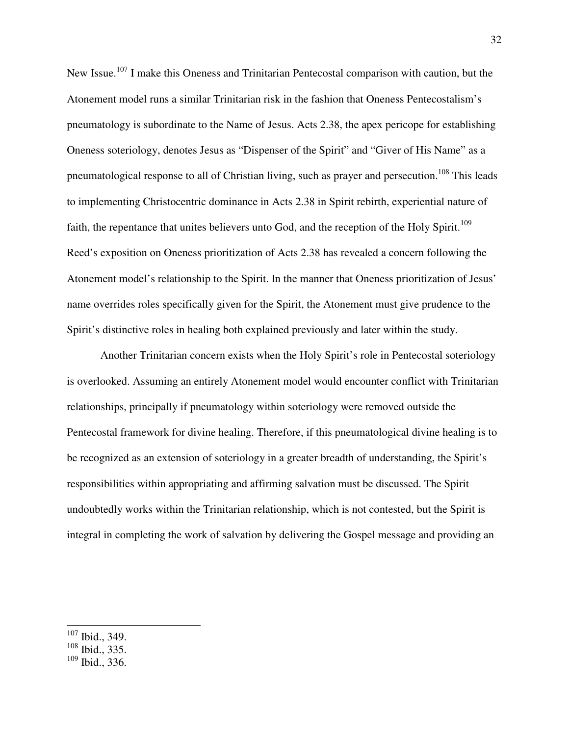New Issue.<sup>107</sup> I make this Oneness and Trinitarian Pentecostal comparison with caution, but the Atonement model runs a similar Trinitarian risk in the fashion that Oneness Pentecostalism's pneumatology is subordinate to the Name of Jesus. Acts 2.38, the apex pericope for establishing Oneness soteriology, denotes Jesus as "Dispenser of the Spirit" and "Giver of His Name" as a pneumatological response to all of Christian living, such as prayer and persecution.<sup>108</sup> This leads to implementing Christocentric dominance in Acts 2.38 in Spirit rebirth, experiential nature of faith, the repentance that unites believers unto God, and the reception of the Holy Spirit.<sup>109</sup> Reed's exposition on Oneness prioritization of Acts 2.38 has revealed a concern following the Atonement model's relationship to the Spirit. In the manner that Oneness prioritization of Jesus' name overrides roles specifically given for the Spirit, the Atonement must give prudence to the Spirit's distinctive roles in healing both explained previously and later within the study.

 Another Trinitarian concern exists when the Holy Spirit's role in Pentecostal soteriology is overlooked. Assuming an entirely Atonement model would encounter conflict with Trinitarian relationships, principally if pneumatology within soteriology were removed outside the Pentecostal framework for divine healing. Therefore, if this pneumatological divine healing is to be recognized as an extension of soteriology in a greater breadth of understanding, the Spirit's responsibilities within appropriating and affirming salvation must be discussed. The Spirit undoubtedly works within the Trinitarian relationship, which is not contested, but the Spirit is integral in completing the work of salvation by delivering the Gospel message and providing an

-

 $109$  Ibid., 336.

 $107$  Ibid., 349.

<sup>108</sup> Ibid., 335.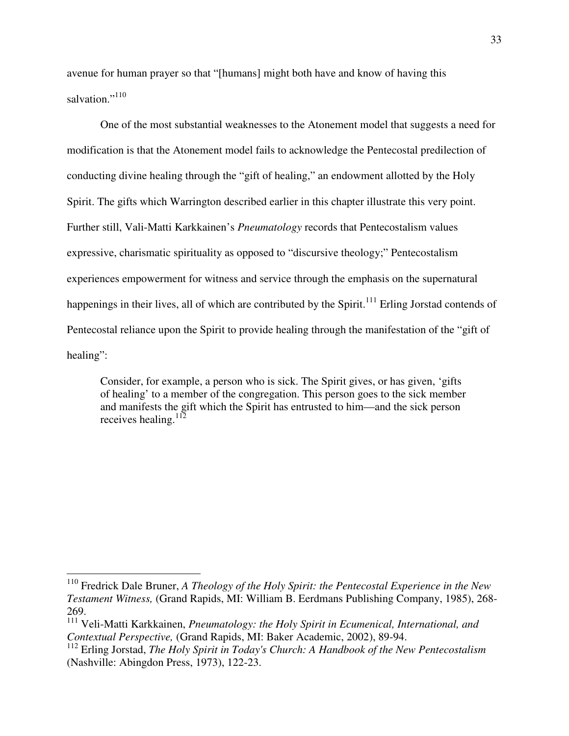avenue for human prayer so that "[humans] might both have and know of having this salvation."<sup>110</sup>

 One of the most substantial weaknesses to the Atonement model that suggests a need for modification is that the Atonement model fails to acknowledge the Pentecostal predilection of conducting divine healing through the "gift of healing," an endowment allotted by the Holy Spirit. The gifts which Warrington described earlier in this chapter illustrate this very point. Further still, Vali-Matti Karkkainen's *Pneumatology* records that Pentecostalism values expressive, charismatic spirituality as opposed to "discursive theology;" Pentecostalism experiences empowerment for witness and service through the emphasis on the supernatural happenings in their lives, all of which are contributed by the Spirit.<sup>111</sup> Erling Jorstad contends of Pentecostal reliance upon the Spirit to provide healing through the manifestation of the "gift of healing":

Consider, for example, a person who is sick. The Spirit gives, or has given, 'gifts of healing' to a member of the congregation. This person goes to the sick member and manifests the gift which the Spirit has entrusted to him—and the sick person receives healing. $112$ 

 $\overline{\phantom{a}}$ 

<sup>110</sup> Fredrick Dale Bruner, *A Theology of the Holy Spirit: the Pentecostal Experience in the New Testament Witness,* (Grand Rapids, MI: William B. Eerdmans Publishing Company, 1985), 268- 269.

<sup>111</sup> Veli-Matti Karkkainen, *Pneumatology: the Holy Spirit in Ecumenical, International, and Contextual Perspective,* (Grand Rapids, MI: Baker Academic, 2002), 89-94.

<sup>112</sup> Erling Jorstad, *The Holy Spirit in Today's Church: A Handbook of the New Pentecostalism* (Nashville: Abingdon Press, 1973), 122-23.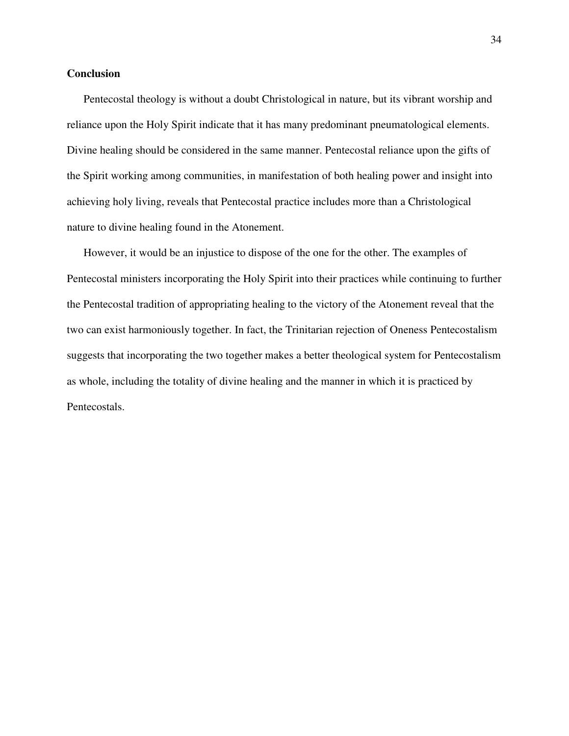## **Conclusion**

 Pentecostal theology is without a doubt Christological in nature, but its vibrant worship and reliance upon the Holy Spirit indicate that it has many predominant pneumatological elements. Divine healing should be considered in the same manner. Pentecostal reliance upon the gifts of the Spirit working among communities, in manifestation of both healing power and insight into achieving holy living, reveals that Pentecostal practice includes more than a Christological nature to divine healing found in the Atonement.

 However, it would be an injustice to dispose of the one for the other. The examples of Pentecostal ministers incorporating the Holy Spirit into their practices while continuing to further the Pentecostal tradition of appropriating healing to the victory of the Atonement reveal that the two can exist harmoniously together. In fact, the Trinitarian rejection of Oneness Pentecostalism suggests that incorporating the two together makes a better theological system for Pentecostalism as whole, including the totality of divine healing and the manner in which it is practiced by Pentecostals.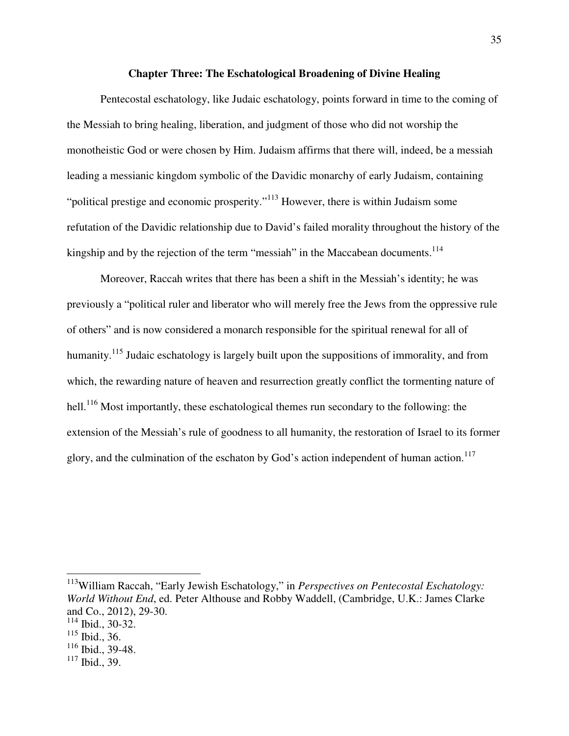#### **Chapter Three: The Eschatological Broadening of Divine Healing**

Pentecostal eschatology, like Judaic eschatology, points forward in time to the coming of the Messiah to bring healing, liberation, and judgment of those who did not worship the monotheistic God or were chosen by Him. Judaism affirms that there will, indeed, be a messiah leading a messianic kingdom symbolic of the Davidic monarchy of early Judaism, containing "political prestige and economic prosperity."<sup>113</sup> However, there is within Judaism some refutation of the Davidic relationship due to David's failed morality throughout the history of the kingship and by the rejection of the term "messiah" in the Maccabean documents.<sup>114</sup>

Moreover, Raccah writes that there has been a shift in the Messiah's identity; he was previously a "political ruler and liberator who will merely free the Jews from the oppressive rule of others" and is now considered a monarch responsible for the spiritual renewal for all of humanity.<sup>115</sup> Judaic eschatology is largely built upon the suppositions of immorality, and from which, the rewarding nature of heaven and resurrection greatly conflict the tormenting nature of hell.<sup>116</sup> Most importantly, these eschatological themes run secondary to the following: the extension of the Messiah's rule of goodness to all humanity, the restoration of Israel to its former glory, and the culmination of the eschaton by God's action independent of human action.<sup>117</sup>

<sup>113</sup>William Raccah, "Early Jewish Eschatology," in *Perspectives on Pentecostal Eschatology: World Without End*, ed. Peter Althouse and Robby Waddell, (Cambridge, U.K.: James Clarke and Co., 2012), 29-30.

 $\overline{\phantom{a}}$ 

 $114$  Ibid., 30-32.

 $115$  Ibid., 36.

 $116$  Ibid., 39-48.

 $117$  Ibid., 39.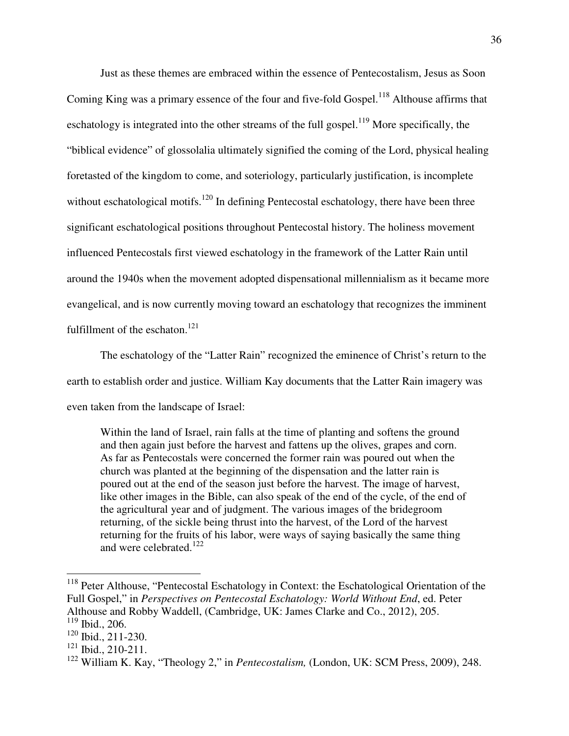Just as these themes are embraced within the essence of Pentecostalism, Jesus as Soon Coming King was a primary essence of the four and five-fold Gospel.<sup>118</sup> Althouse affirms that eschatology is integrated into the other streams of the full gospel.<sup>119</sup> More specifically, the "biblical evidence" of glossolalia ultimately signified the coming of the Lord, physical healing foretasted of the kingdom to come, and soteriology, particularly justification, is incomplete without eschatological motifs.<sup>120</sup> In defining Pentecostal eschatology, there have been three significant eschatological positions throughout Pentecostal history. The holiness movement influenced Pentecostals first viewed eschatology in the framework of the Latter Rain until around the 1940s when the movement adopted dispensational millennialism as it became more evangelical, and is now currently moving toward an eschatology that recognizes the imminent fulfillment of the eschaton. $121$ 

The eschatology of the "Latter Rain" recognized the eminence of Christ's return to the earth to establish order and justice. William Kay documents that the Latter Rain imagery was even taken from the landscape of Israel:

Within the land of Israel, rain falls at the time of planting and softens the ground and then again just before the harvest and fattens up the olives, grapes and corn. As far as Pentecostals were concerned the former rain was poured out when the church was planted at the beginning of the dispensation and the latter rain is poured out at the end of the season just before the harvest. The image of harvest, like other images in the Bible, can also speak of the end of the cycle, of the end of the agricultural year and of judgment. The various images of the bridegroom returning, of the sickle being thrust into the harvest, of the Lord of the harvest returning for the fruits of his labor, were ways of saying basically the same thing and were celebrated.<sup>122</sup>

 $\overline{\phantom{a}}$ 

<sup>&</sup>lt;sup>118</sup> Peter Althouse, "Pentecostal Eschatology in Context: the Eschatological Orientation of the Full Gospel," in *Perspectives on Pentecostal Eschatology: World Without End*, ed. Peter Althouse and Robby Waddell, (Cambridge, UK: James Clarke and Co., 2012), 205. <sup>119</sup> Ibid., 206.

 $120$  Ibid., 211-230.

<sup>121</sup> Ibid., 210-211.

<sup>122</sup> William K. Kay, "Theology 2," in *Pentecostalism,* (London, UK: SCM Press, 2009), 248.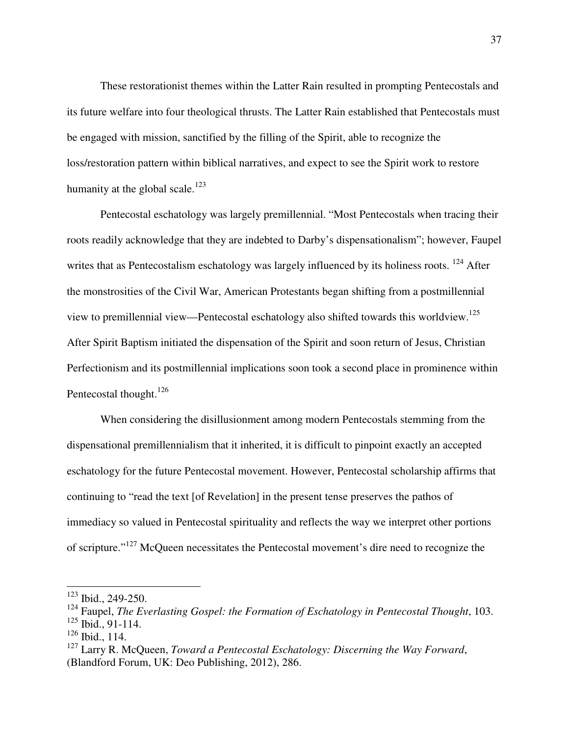These restorationist themes within the Latter Rain resulted in prompting Pentecostals and its future welfare into four theological thrusts. The Latter Rain established that Pentecostals must be engaged with mission, sanctified by the filling of the Spirit, able to recognize the loss/restoration pattern within biblical narratives, and expect to see the Spirit work to restore humanity at the global scale.<sup>123</sup>

Pentecostal eschatology was largely premillennial. "Most Pentecostals when tracing their roots readily acknowledge that they are indebted to Darby's dispensationalism"; however, Faupel writes that as Pentecostalism eschatology was largely influenced by its holiness roots. <sup>124</sup> After the monstrosities of the Civil War, American Protestants began shifting from a postmillennial view to premillennial view—Pentecostal eschatology also shifted towards this worldview.<sup>125</sup> After Spirit Baptism initiated the dispensation of the Spirit and soon return of Jesus, Christian Perfectionism and its postmillennial implications soon took a second place in prominence within Pentecostal thought. $126$ 

When considering the disillusionment among modern Pentecostals stemming from the dispensational premillennialism that it inherited, it is difficult to pinpoint exactly an accepted eschatology for the future Pentecostal movement. However, Pentecostal scholarship affirms that continuing to "read the text [of Revelation] in the present tense preserves the pathos of immediacy so valued in Pentecostal spirituality and reflects the way we interpret other portions of scripture."<sup>127</sup> McQueen necessitates the Pentecostal movement's dire need to recognize the

<sup>123</sup> Ibid., 249-250.

<sup>124</sup> Faupel, *The Everlasting Gospel: the Formation of Eschatology in Pentecostal Thought*, 103.

 $125$  Ibid., 91-114.

<sup>&</sup>lt;sup>126</sup> Ibid., 114.

<sup>127</sup> Larry R. McQueen, *Toward a Pentecostal Eschatology: Discerning the Way Forward*, (Blandford Forum, UK: Deo Publishing, 2012), 286.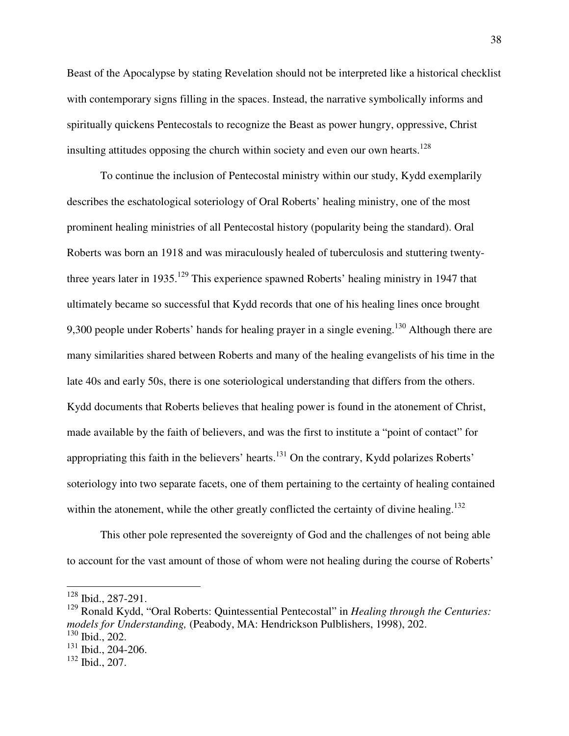Beast of the Apocalypse by stating Revelation should not be interpreted like a historical checklist with contemporary signs filling in the spaces. Instead, the narrative symbolically informs and spiritually quickens Pentecostals to recognize the Beast as power hungry, oppressive, Christ insulting attitudes opposing the church within society and even our own hearts.<sup>128</sup>

To continue the inclusion of Pentecostal ministry within our study, Kydd exemplarily describes the eschatological soteriology of Oral Roberts' healing ministry, one of the most prominent healing ministries of all Pentecostal history (popularity being the standard). Oral Roberts was born an 1918 and was miraculously healed of tuberculosis and stuttering twentythree years later in 1935.<sup>129</sup> This experience spawned Roberts' healing ministry in 1947 that ultimately became so successful that Kydd records that one of his healing lines once brought 9,300 people under Roberts' hands for healing prayer in a single evening.<sup>130</sup> Although there are many similarities shared between Roberts and many of the healing evangelists of his time in the late 40s and early 50s, there is one soteriological understanding that differs from the others. Kydd documents that Roberts believes that healing power is found in the atonement of Christ, made available by the faith of believers, and was the first to institute a "point of contact" for appropriating this faith in the believers' hearts.<sup>131</sup> On the contrary, Kydd polarizes Roberts' soteriology into two separate facets, one of them pertaining to the certainty of healing contained within the atonement, while the other greatly conflicted the certainty of divine healing.<sup>132</sup>

This other pole represented the sovereignty of God and the challenges of not being able to account for the vast amount of those of whom were not healing during the course of Roberts'

<sup>128</sup> Ibid., 287-291.

<sup>129</sup> Ronald Kydd, "Oral Roberts: Quintessential Pentecostal" in *Healing through the Centuries: models for Understanding,* (Peabody, MA: Hendrickson Pulblishers, 1998), 202. <sup>130</sup> Ibid., 202.

<sup>131</sup> Ibid., 204-206.

<sup>132</sup> Ibid., 207.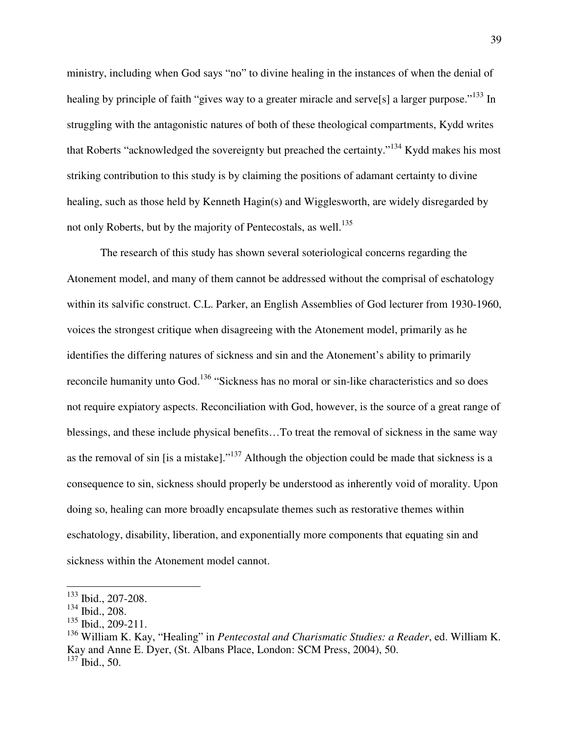ministry, including when God says "no" to divine healing in the instances of when the denial of healing by principle of faith "gives way to a greater miracle and serve<sup>[5]</sup> a larger purpose."<sup>133</sup> In struggling with the antagonistic natures of both of these theological compartments, Kydd writes that Roberts "acknowledged the sovereignty but preached the certainty."<sup>134</sup> Kydd makes his most striking contribution to this study is by claiming the positions of adamant certainty to divine healing, such as those held by Kenneth Hagin(s) and Wigglesworth, are widely disregarded by not only Roberts, but by the majority of Pentecostals, as well.<sup>135</sup>

The research of this study has shown several soteriological concerns regarding the Atonement model, and many of them cannot be addressed without the comprisal of eschatology within its salvific construct. C.L. Parker, an English Assemblies of God lecturer from 1930-1960, voices the strongest critique when disagreeing with the Atonement model, primarily as he identifies the differing natures of sickness and sin and the Atonement's ability to primarily reconcile humanity unto God.<sup>136</sup> "Sickness has no moral or sin-like characteristics and so does not require expiatory aspects. Reconciliation with God, however, is the source of a great range of blessings, and these include physical benefits…To treat the removal of sickness in the same way as the removal of sin [is a mistake]."<sup>137</sup> Although the objection could be made that sickness is a consequence to sin, sickness should properly be understood as inherently void of morality. Upon doing so, healing can more broadly encapsulate themes such as restorative themes within eschatology, disability, liberation, and exponentially more components that equating sin and sickness within the Atonement model cannot.

<sup>133</sup> Ibid., 207-208.

<sup>134</sup> Ibid., 208.

 $135$  Ibid., 209-211.

<sup>136</sup> William K. Kay, "Healing" in *Pentecostal and Charismatic Studies: a Reader*, ed. William K. Kay and Anne E. Dyer, (St. Albans Place, London: SCM Press, 2004), 50.  $137$  Ibid., 50.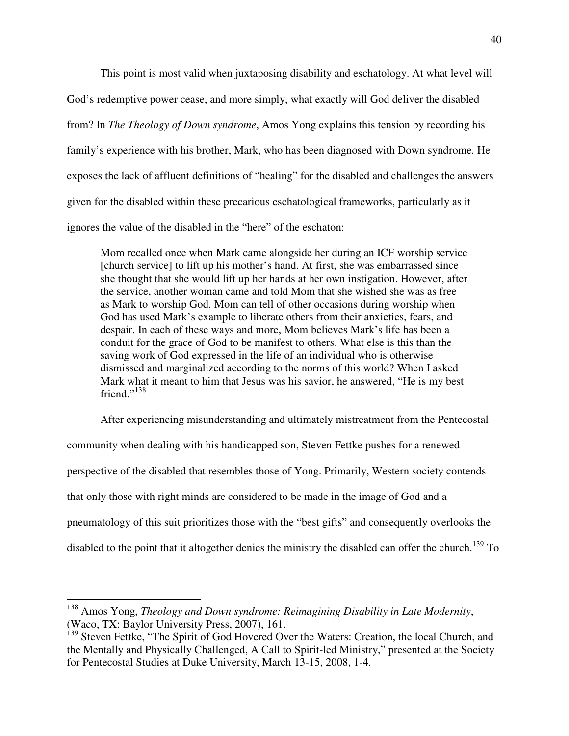This point is most valid when juxtaposing disability and eschatology. At what level will God's redemptive power cease, and more simply, what exactly will God deliver the disabled from? In *The Theology of Down syndrome*, Amos Yong explains this tension by recording his family's experience with his brother, Mark, who has been diagnosed with Down syndrome*.* He exposes the lack of affluent definitions of "healing" for the disabled and challenges the answers given for the disabled within these precarious eschatological frameworks, particularly as it ignores the value of the disabled in the "here" of the eschaton:

Mom recalled once when Mark came alongside her during an ICF worship service [church service] to lift up his mother's hand. At first, she was embarrassed since she thought that she would lift up her hands at her own instigation. However, after the service, another woman came and told Mom that she wished she was as free as Mark to worship God. Mom can tell of other occasions during worship when God has used Mark's example to liberate others from their anxieties, fears, and despair. In each of these ways and more, Mom believes Mark's life has been a conduit for the grace of God to be manifest to others. What else is this than the saving work of God expressed in the life of an individual who is otherwise dismissed and marginalized according to the norms of this world? When I asked Mark what it meant to him that Jesus was his savior, he answered, "He is my best friend."<sup>138</sup>

After experiencing misunderstanding and ultimately mistreatment from the Pentecostal community when dealing with his handicapped son, Steven Fettke pushes for a renewed perspective of the disabled that resembles those of Yong. Primarily, Western society contends that only those with right minds are considered to be made in the image of God and a pneumatology of this suit prioritizes those with the "best gifts" and consequently overlooks the disabled to the point that it altogether denies the ministry the disabled can offer the church.<sup>139</sup> To

-

<sup>138</sup> Amos Yong, *Theology and Down syndrome: Reimagining Disability in Late Modernity*, (Waco, TX: Baylor University Press, 2007), 161.

<sup>&</sup>lt;sup>139</sup> Steven Fettke, "The Spirit of God Hovered Over the Waters: Creation, the local Church, and the Mentally and Physically Challenged, A Call to Spirit-led Ministry," presented at the Society for Pentecostal Studies at Duke University, March 13-15, 2008, 1-4.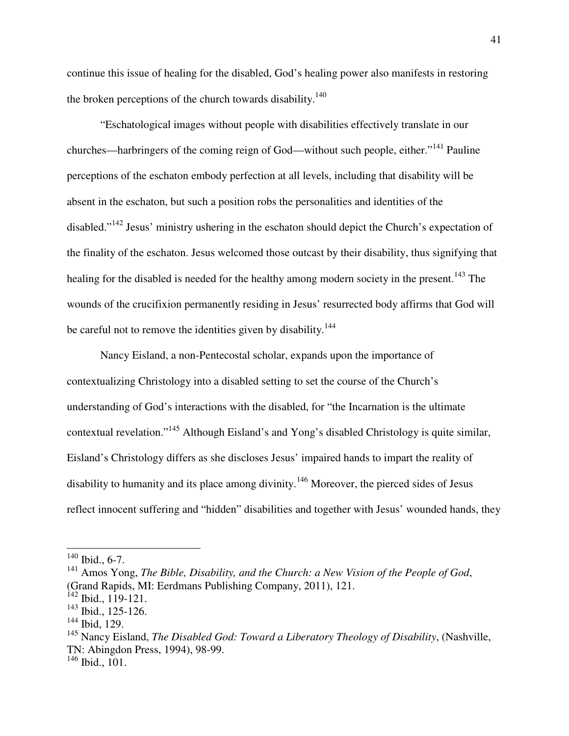continue this issue of healing for the disabled, God's healing power also manifests in restoring the broken perceptions of the church towards disability.<sup>140</sup>

"Eschatological images without people with disabilities effectively translate in our churches—harbringers of the coming reign of God—without such people, either."<sup>141</sup> Pauline perceptions of the eschaton embody perfection at all levels, including that disability will be absent in the eschaton, but such a position robs the personalities and identities of the disabled."<sup>142</sup> Jesus' ministry ushering in the eschaton should depict the Church's expectation of the finality of the eschaton. Jesus welcomed those outcast by their disability, thus signifying that healing for the disabled is needed for the healthy among modern society in the present.<sup>143</sup> The wounds of the crucifixion permanently residing in Jesus' resurrected body affirms that God will be careful not to remove the identities given by disability.<sup>144</sup>

Nancy Eisland, a non-Pentecostal scholar, expands upon the importance of contextualizing Christology into a disabled setting to set the course of the Church's understanding of God's interactions with the disabled, for "the Incarnation is the ultimate contextual revelation."<sup>145</sup> Although Eisland's and Yong's disabled Christology is quite similar, Eisland's Christology differs as she discloses Jesus' impaired hands to impart the reality of disability to humanity and its place among divinity.<sup>146</sup> Moreover, the pierced sides of Jesus reflect innocent suffering and "hidden" disabilities and together with Jesus' wounded hands, they

-

 $140$  Ibid., 6-7.

<sup>141</sup> Amos Yong, *The Bible, Disability, and the Church: a New Vision of the People of God*, (Grand Rapids, MI: Eerdmans Publishing Company, 2011), 121.

 $142$  Ibid., 119-121.

<sup>143</sup> Ibid., 125-126.

<sup>144</sup> Ibid, 129.

<sup>145</sup> Nancy Eisland, *The Disabled God: Toward a Liberatory Theology of Disability*, (Nashville, TN: Abingdon Press, 1994), 98-99.

<sup>146</sup> Ibid., 101.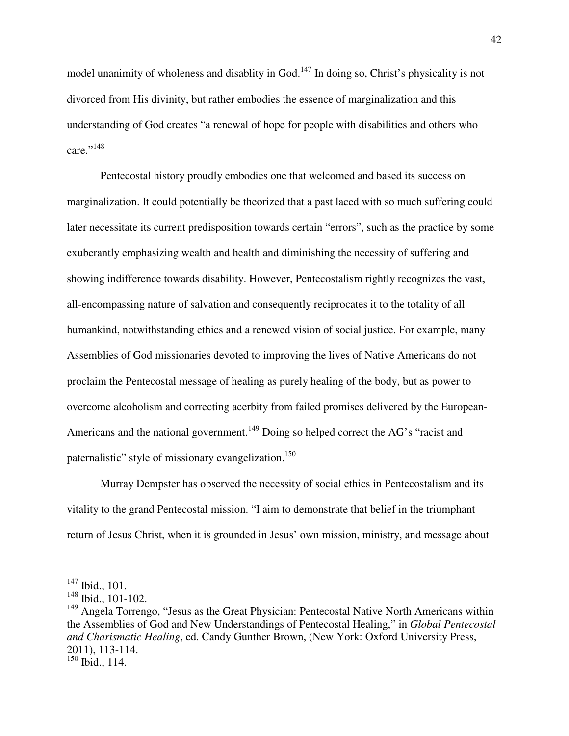model unanimity of wholeness and disablity in God.<sup>147</sup> In doing so, Christ's physicality is not divorced from His divinity, but rather embodies the essence of marginalization and this understanding of God creates "a renewal of hope for people with disabilities and others who care."<sup>148</sup>

Pentecostal history proudly embodies one that welcomed and based its success on marginalization. It could potentially be theorized that a past laced with so much suffering could later necessitate its current predisposition towards certain "errors", such as the practice by some exuberantly emphasizing wealth and health and diminishing the necessity of suffering and showing indifference towards disability. However, Pentecostalism rightly recognizes the vast, all-encompassing nature of salvation and consequently reciprocates it to the totality of all humankind, notwithstanding ethics and a renewed vision of social justice. For example, many Assemblies of God missionaries devoted to improving the lives of Native Americans do not proclaim the Pentecostal message of healing as purely healing of the body, but as power to overcome alcoholism and correcting acerbity from failed promises delivered by the European-Americans and the national government.<sup>149</sup> Doing so helped correct the AG's "racist and paternalistic" style of missionary evangelization.<sup>150</sup>

Murray Dempster has observed the necessity of social ethics in Pentecostalism and its vitality to the grand Pentecostal mission. "I aim to demonstrate that belief in the triumphant return of Jesus Christ, when it is grounded in Jesus' own mission, ministry, and message about

 $\overline{\phantom{a}}$ 

 $147$  Ibid., 101.

<sup>148</sup> Ibid., 101-102.

 $149$  Angela Torrengo, "Jesus as the Great Physician: Pentecostal Native North Americans within the Assemblies of God and New Understandings of Pentecostal Healing," in *Global Pentecostal and Charismatic Healing*, ed. Candy Gunther Brown, (New York: Oxford University Press, 2011), 113-114.

<sup>150</sup> Ibid., 114.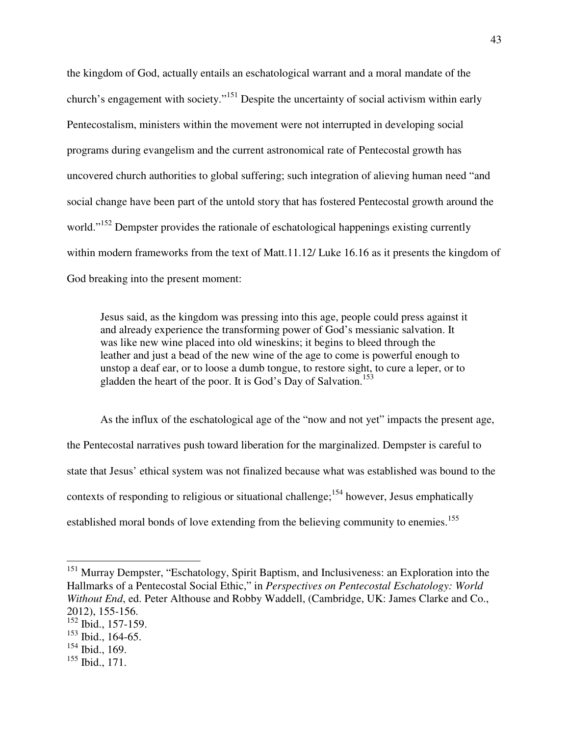the kingdom of God, actually entails an eschatological warrant and a moral mandate of the church's engagement with society."<sup>151</sup> Despite the uncertainty of social activism within early Pentecostalism, ministers within the movement were not interrupted in developing social programs during evangelism and the current astronomical rate of Pentecostal growth has uncovered church authorities to global suffering; such integration of alieving human need "and social change have been part of the untold story that has fostered Pentecostal growth around the world."<sup>152</sup> Dempster provides the rationale of eschatological happenings existing currently within modern frameworks from the text of Matt.11.12/ Luke 16.16 as it presents the kingdom of God breaking into the present moment:

Jesus said, as the kingdom was pressing into this age, people could press against it and already experience the transforming power of God's messianic salvation. It was like new wine placed into old wineskins; it begins to bleed through the leather and just a bead of the new wine of the age to come is powerful enough to unstop a deaf ear, or to loose a dumb tongue, to restore sight, to cure a leper, or to gladden the heart of the poor. It is God's Day of Salvation.<sup>153</sup>

As the influx of the eschatological age of the "now and not yet" impacts the present age, the Pentecostal narratives push toward liberation for the marginalized. Dempster is careful to state that Jesus' ethical system was not finalized because what was established was bound to the contexts of responding to religious or situational challenge;  $154$  however, Jesus emphatically established moral bonds of love extending from the believing community to enemies.<sup>155</sup>

<sup>&</sup>lt;sup>151</sup> Murray Dempster, "Eschatology, Spirit Baptism, and Inclusiveness: an Exploration into the Hallmarks of a Pentecostal Social Ethic," in *Perspectives on Pentecostal Eschatology: World Without End*, ed. Peter Althouse and Robby Waddell, (Cambridge, UK: James Clarke and Co., 2012), 155-156.

<sup>&</sup>lt;sup>152</sup> Ibid., 157-159.

<sup>153</sup> Ibid., 164-65.

<sup>154</sup> Ibid., 169.

 $155$  Ibid., 171.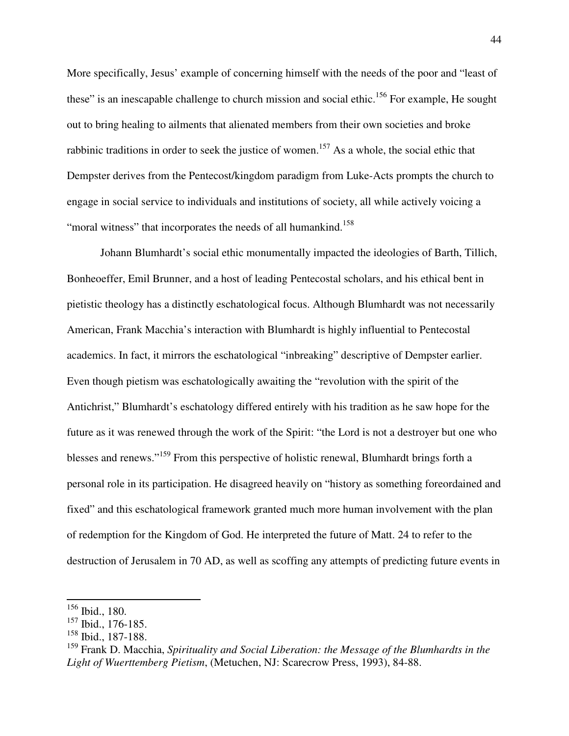More specifically, Jesus' example of concerning himself with the needs of the poor and "least of these" is an inescapable challenge to church mission and social ethic.<sup>156</sup> For example, He sought out to bring healing to ailments that alienated members from their own societies and broke rabbinic traditions in order to seek the justice of women.<sup>157</sup> As a whole, the social ethic that Dempster derives from the Pentecost/kingdom paradigm from Luke-Acts prompts the church to engage in social service to individuals and institutions of society, all while actively voicing a "moral witness" that incorporates the needs of all humankind.<sup>158</sup>

 Johann Blumhardt's social ethic monumentally impacted the ideologies of Barth, Tillich, Bonheoeffer, Emil Brunner, and a host of leading Pentecostal scholars, and his ethical bent in pietistic theology has a distinctly eschatological focus. Although Blumhardt was not necessarily American, Frank Macchia's interaction with Blumhardt is highly influential to Pentecostal academics. In fact, it mirrors the eschatological "inbreaking" descriptive of Dempster earlier. Even though pietism was eschatologically awaiting the "revolution with the spirit of the Antichrist," Blumhardt's eschatology differed entirely with his tradition as he saw hope for the future as it was renewed through the work of the Spirit: "the Lord is not a destroyer but one who blesses and renews."<sup>159</sup> From this perspective of holistic renewal, Blumhardt brings forth a personal role in its participation. He disagreed heavily on "history as something foreordained and fixed" and this eschatological framework granted much more human involvement with the plan of redemption for the Kingdom of God. He interpreted the future of Matt. 24 to refer to the destruction of Jerusalem in 70 AD, as well as scoffing any attempts of predicting future events in

-

<sup>156</sup> Ibid., 180.

<sup>157</sup> Ibid., 176-185.

<sup>158</sup> Ibid., 187-188.

<sup>159</sup> Frank D. Macchia, *Spirituality and Social Liberation: the Message of the Blumhardts in the Light of Wuerttemberg Pietism*, (Metuchen, NJ: Scarecrow Press, 1993), 84-88.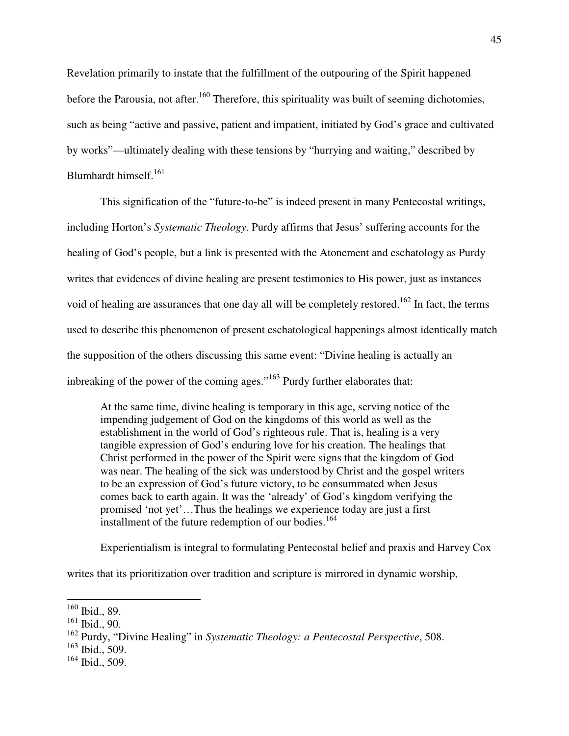Revelation primarily to instate that the fulfillment of the outpouring of the Spirit happened before the Parousia, not after.<sup>160</sup> Therefore, this spirituality was built of seeming dichotomies, such as being "active and passive, patient and impatient, initiated by God's grace and cultivated by works"—ultimately dealing with these tensions by "hurrying and waiting," described by Blumhardt himself.<sup>161</sup>

 This signification of the "future-to-be" is indeed present in many Pentecostal writings, including Horton's *Systematic Theology*. Purdy affirms that Jesus' suffering accounts for the healing of God's people, but a link is presented with the Atonement and eschatology as Purdy writes that evidences of divine healing are present testimonies to His power, just as instances void of healing are assurances that one day all will be completely restored.<sup>162</sup> In fact, the terms used to describe this phenomenon of present eschatological happenings almost identically match the supposition of the others discussing this same event: "Divine healing is actually an inbreaking of the power of the coming ages."<sup>163</sup> Purdy further elaborates that:

At the same time, divine healing is temporary in this age, serving notice of the impending judgement of God on the kingdoms of this world as well as the establishment in the world of God's righteous rule. That is, healing is a very tangible expression of God's enduring love for his creation. The healings that Christ performed in the power of the Spirit were signs that the kingdom of God was near. The healing of the sick was understood by Christ and the gospel writers to be an expression of God's future victory, to be consummated when Jesus comes back to earth again. It was the 'already' of God's kingdom verifying the promised 'not yet'…Thus the healings we experience today are just a first installment of the future redemption of our bodies.<sup>164</sup>

Experientialism is integral to formulating Pentecostal belief and praxis and Harvey Cox

writes that its prioritization over tradition and scripture is mirrored in dynamic worship,

-

 $160$  Ibid., 89.

 $161$  Ibid., 90.

<sup>162</sup> Purdy, "Divine Healing" in *Systematic Theology: a Pentecostal Perspective*, 508.

<sup>163</sup> Ibid., 509.

 $164$  Ibid., 509.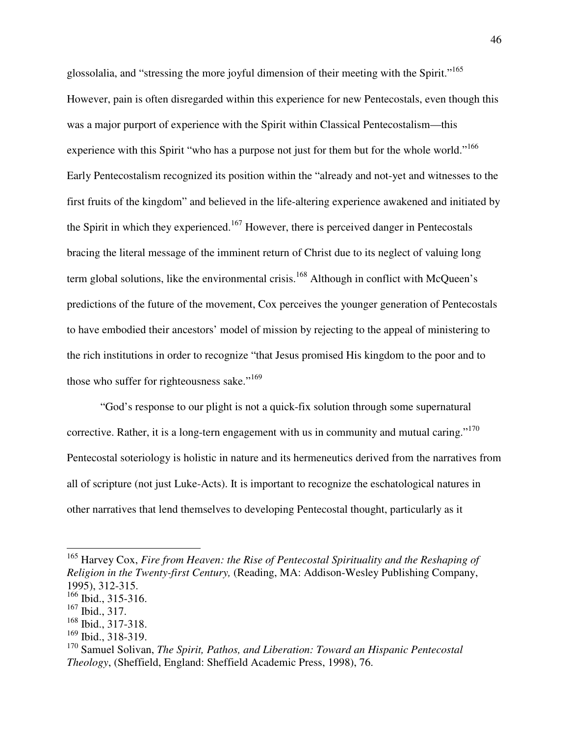glossolalia, and "stressing the more joyful dimension of their meeting with the Spirit."<sup>165</sup> However, pain is often disregarded within this experience for new Pentecostals, even though this was a major purport of experience with the Spirit within Classical Pentecostalism—this experience with this Spirit "who has a purpose not just for them but for the whole world."<sup>166</sup> Early Pentecostalism recognized its position within the "already and not-yet and witnesses to the first fruits of the kingdom" and believed in the life-altering experience awakened and initiated by the Spirit in which they experienced.<sup>167</sup> However, there is perceived danger in Pentecostals bracing the literal message of the imminent return of Christ due to its neglect of valuing long term global solutions, like the environmental crisis.<sup>168</sup> Although in conflict with McQueen's predictions of the future of the movement, Cox perceives the younger generation of Pentecostals to have embodied their ancestors' model of mission by rejecting to the appeal of ministering to the rich institutions in order to recognize "that Jesus promised His kingdom to the poor and to those who suffer for righteousness sake."<sup>169</sup>

 "God's response to our plight is not a quick-fix solution through some supernatural corrective. Rather, it is a long-tern engagement with us in community and mutual caring."<sup>170</sup> Pentecostal soteriology is holistic in nature and its hermeneutics derived from the narratives from all of scripture (not just Luke-Acts). It is important to recognize the eschatological natures in other narratives that lend themselves to developing Pentecostal thought, particularly as it

<sup>&</sup>lt;sup>165</sup> Harvey Cox, *Fire from Heaven: the Rise of Pentecostal Spirituality and the Reshaping of Religion in the Twenty-first Century,* (Reading, MA: Addison-Wesley Publishing Company, 1995), 312-315.

 $166$  Ibid., 315-316.

 $167$  Ibid., 317.

<sup>168</sup> Ibid., 317-318.

<sup>169</sup> Ibid., 318-319.

<sup>170</sup> Samuel Solivan, *The Spirit, Pathos, and Liberation: Toward an Hispanic Pentecostal Theology*, (Sheffield, England: Sheffield Academic Press, 1998), 76.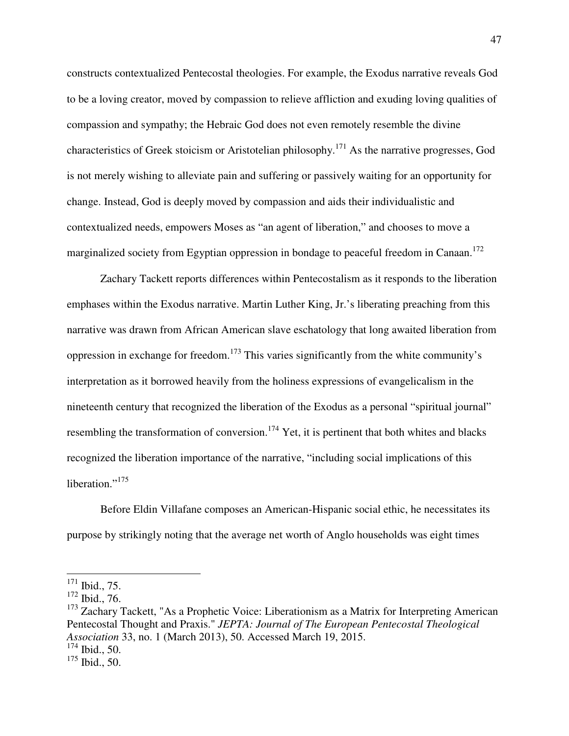constructs contextualized Pentecostal theologies. For example, the Exodus narrative reveals God to be a loving creator, moved by compassion to relieve affliction and exuding loving qualities of compassion and sympathy; the Hebraic God does not even remotely resemble the divine characteristics of Greek stoicism or Aristotelian philosophy.<sup>171</sup> As the narrative progresses, God is not merely wishing to alleviate pain and suffering or passively waiting for an opportunity for change. Instead, God is deeply moved by compassion and aids their individualistic and contextualized needs, empowers Moses as "an agent of liberation," and chooses to move a marginalized society from Egyptian oppression in bondage to peaceful freedom in Canaan.<sup>172</sup>

 Zachary Tackett reports differences within Pentecostalism as it responds to the liberation emphases within the Exodus narrative. Martin Luther King, Jr.'s liberating preaching from this narrative was drawn from African American slave eschatology that long awaited liberation from oppression in exchange for freedom.<sup>173</sup> This varies significantly from the white community's interpretation as it borrowed heavily from the holiness expressions of evangelicalism in the nineteenth century that recognized the liberation of the Exodus as a personal "spiritual journal" resembling the transformation of conversion.<sup>174</sup> Yet, it is pertinent that both whites and blacks recognized the liberation importance of the narrative, "including social implications of this liberation." $175$ 

 Before Eldin Villafane composes an American-Hispanic social ethic, he necessitates its purpose by strikingly noting that the average net worth of Anglo households was eight times

 $\overline{\phantom{a}}$ 

 $171$  Ibid., 75.

<sup>172</sup> Ibid., 76.

 $173$  Zachary Tackett, "As a Prophetic Voice: Liberationism as a Matrix for Interpreting American Pentecostal Thought and Praxis." *JEPTA: Journal of The European Pentecostal Theological Association* 33, no. 1 (March 2013), 50. Accessed March 19, 2015.

 $174$  Ibid., 50.

 $175$  Ibid., 50.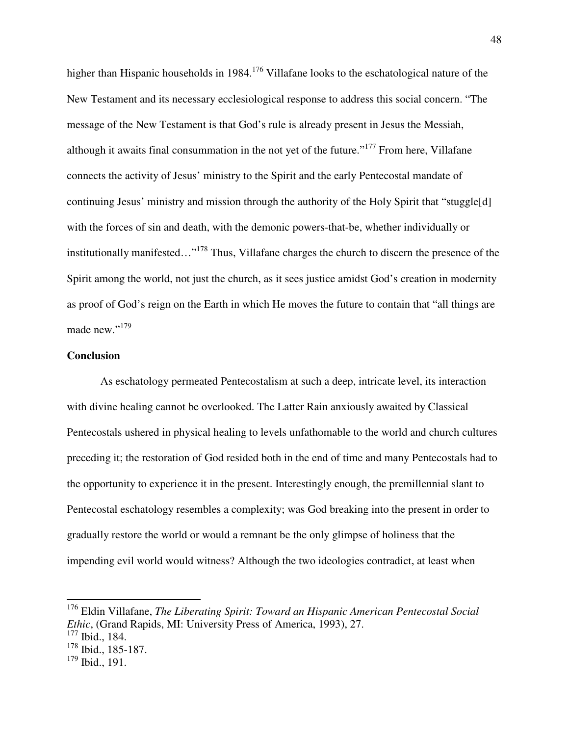higher than Hispanic households in 1984.<sup>176</sup> Villafane looks to the eschatological nature of the New Testament and its necessary ecclesiological response to address this social concern. "The message of the New Testament is that God's rule is already present in Jesus the Messiah, although it awaits final consummation in the not yet of the future."<sup>177</sup> From here, Villafane connects the activity of Jesus' ministry to the Spirit and the early Pentecostal mandate of continuing Jesus' ministry and mission through the authority of the Holy Spirit that "stuggle[d] with the forces of sin and death, with the demonic powers-that-be, whether individually or institutionally manifested…"<sup>178</sup> Thus, Villafane charges the church to discern the presence of the Spirit among the world, not just the church, as it sees justice amidst God's creation in modernity as proof of God's reign on the Earth in which He moves the future to contain that "all things are made new."<sup>179</sup>

### **Conclusion**

 As eschatology permeated Pentecostalism at such a deep, intricate level, its interaction with divine healing cannot be overlooked. The Latter Rain anxiously awaited by Classical Pentecostals ushered in physical healing to levels unfathomable to the world and church cultures preceding it; the restoration of God resided both in the end of time and many Pentecostals had to the opportunity to experience it in the present. Interestingly enough, the premillennial slant to Pentecostal eschatology resembles a complexity; was God breaking into the present in order to gradually restore the world or would a remnant be the only glimpse of holiness that the impending evil world would witness? Although the two ideologies contradict, at least when

-

<sup>176</sup> Eldin Villafane, *The Liberating Spirit: Toward an Hispanic American Pentecostal Social Ethic*, (Grand Rapids, MI: University Press of America, 1993), 27.

 $\frac{177}{177}$  Ibid., 184.

<sup>178</sup> Ibid., 185-187.

 $179$  Ibid., 191.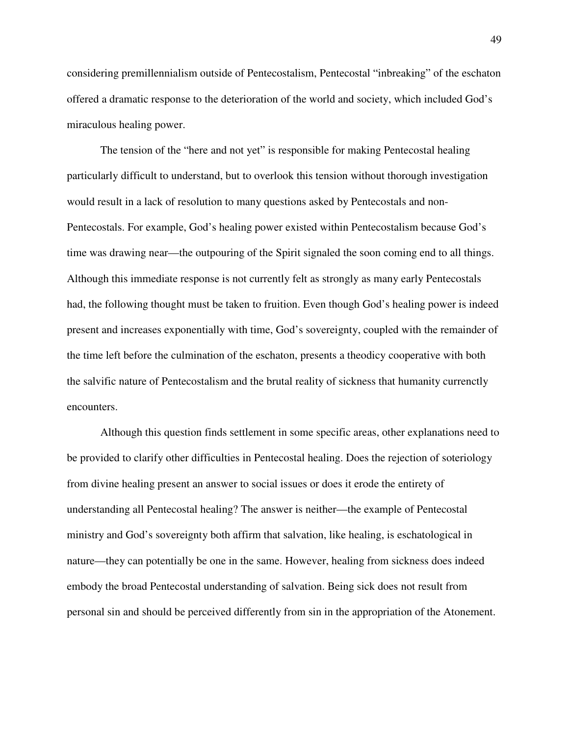considering premillennialism outside of Pentecostalism, Pentecostal "inbreaking" of the eschaton offered a dramatic response to the deterioration of the world and society, which included God's miraculous healing power.

 The tension of the "here and not yet" is responsible for making Pentecostal healing particularly difficult to understand, but to overlook this tension without thorough investigation would result in a lack of resolution to many questions asked by Pentecostals and non-Pentecostals. For example, God's healing power existed within Pentecostalism because God's time was drawing near—the outpouring of the Spirit signaled the soon coming end to all things. Although this immediate response is not currently felt as strongly as many early Pentecostals had, the following thought must be taken to fruition. Even though God's healing power is indeed present and increases exponentially with time, God's sovereignty, coupled with the remainder of the time left before the culmination of the eschaton, presents a theodicy cooperative with both the salvific nature of Pentecostalism and the brutal reality of sickness that humanity currenctly encounters.

 Although this question finds settlement in some specific areas, other explanations need to be provided to clarify other difficulties in Pentecostal healing. Does the rejection of soteriology from divine healing present an answer to social issues or does it erode the entirety of understanding all Pentecostal healing? The answer is neither—the example of Pentecostal ministry and God's sovereignty both affirm that salvation, like healing, is eschatological in nature—they can potentially be one in the same. However, healing from sickness does indeed embody the broad Pentecostal understanding of salvation. Being sick does not result from personal sin and should be perceived differently from sin in the appropriation of the Atonement.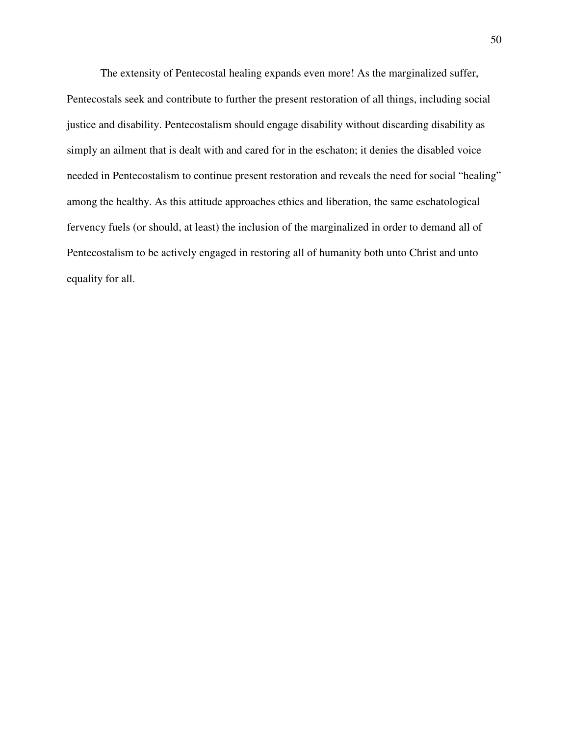The extensity of Pentecostal healing expands even more! As the marginalized suffer, Pentecostals seek and contribute to further the present restoration of all things, including social justice and disability. Pentecostalism should engage disability without discarding disability as simply an ailment that is dealt with and cared for in the eschaton; it denies the disabled voice needed in Pentecostalism to continue present restoration and reveals the need for social "healing" among the healthy. As this attitude approaches ethics and liberation, the same eschatological fervency fuels (or should, at least) the inclusion of the marginalized in order to demand all of Pentecostalism to be actively engaged in restoring all of humanity both unto Christ and unto equality for all.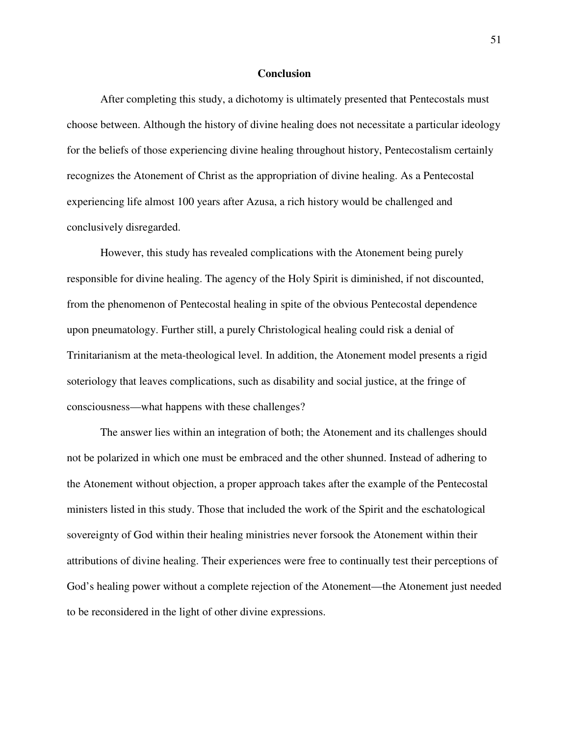#### **Conclusion**

 After completing this study, a dichotomy is ultimately presented that Pentecostals must choose between. Although the history of divine healing does not necessitate a particular ideology for the beliefs of those experiencing divine healing throughout history, Pentecostalism certainly recognizes the Atonement of Christ as the appropriation of divine healing. As a Pentecostal experiencing life almost 100 years after Azusa, a rich history would be challenged and conclusively disregarded.

 However, this study has revealed complications with the Atonement being purely responsible for divine healing. The agency of the Holy Spirit is diminished, if not discounted, from the phenomenon of Pentecostal healing in spite of the obvious Pentecostal dependence upon pneumatology. Further still, a purely Christological healing could risk a denial of Trinitarianism at the meta-theological level. In addition, the Atonement model presents a rigid soteriology that leaves complications, such as disability and social justice, at the fringe of consciousness—what happens with these challenges?

 The answer lies within an integration of both; the Atonement and its challenges should not be polarized in which one must be embraced and the other shunned. Instead of adhering to the Atonement without objection, a proper approach takes after the example of the Pentecostal ministers listed in this study. Those that included the work of the Spirit and the eschatological sovereignty of God within their healing ministries never forsook the Atonement within their attributions of divine healing. Their experiences were free to continually test their perceptions of God's healing power without a complete rejection of the Atonement—the Atonement just needed to be reconsidered in the light of other divine expressions.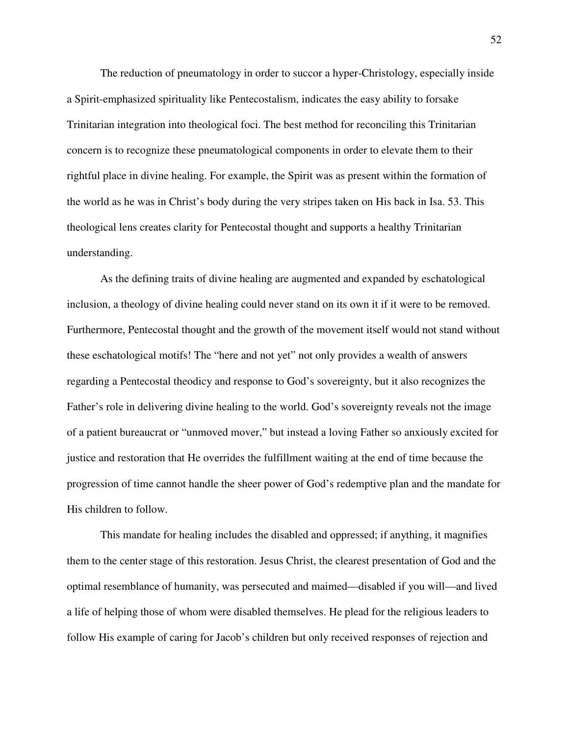The reduction of pneumatology in order to succor a hyper-Christology, especially inside a Spirit-emphasized spirituality like Pentecostalism, indicates the easy ability to forsake Trinitarian integration into theological foci. The best method for reconciling this Trinitarian concern is to recognize these pneumatological components in order to elevate them to their rightful place in divine healing. For example, the Spirit was as present within the formation of the world as he was in Christ's body during the very stripes taken on His back in Isa. 53. This theological lens creates clarity for Pentecostal thought and supports a healthy Trinitarian understanding.

 As the defining traits of divine healing are augmented and expanded by eschatological inclusion, a theology of divine healing could never stand on its own it if it were to be removed. Furthermore, Pentecostal thought and the growth of the movement itself would not stand without these eschatological motifs! The "here and not yet" not only provides a wealth of answers regarding a Pentecostal theodicy and response to God's sovereignty, but it also recognizes the Father's role in delivering divine healing to the world. God's sovereignty reveals not the image of a patient bureaucrat or "unmoved mover," but instead a loving Father so anxiously excited for justice and restoration that He overrides the fulfillment waiting at the end of time because the progression of time cannot handle the sheer power of God's redemptive plan and the mandate for His children to follow.

 This mandate for healing includes the disabled and oppressed; if anything, it magnifies them to the center stage of this restoration. Jesus Christ, the clearest presentation of God and the optimal resemblance of humanity, was persecuted and maimed—disabled if you will—and lived a life of helping those of whom were disabled themselves. He plead for the religious leaders to follow His example of caring for Jacob's children but only received responses of rejection and

52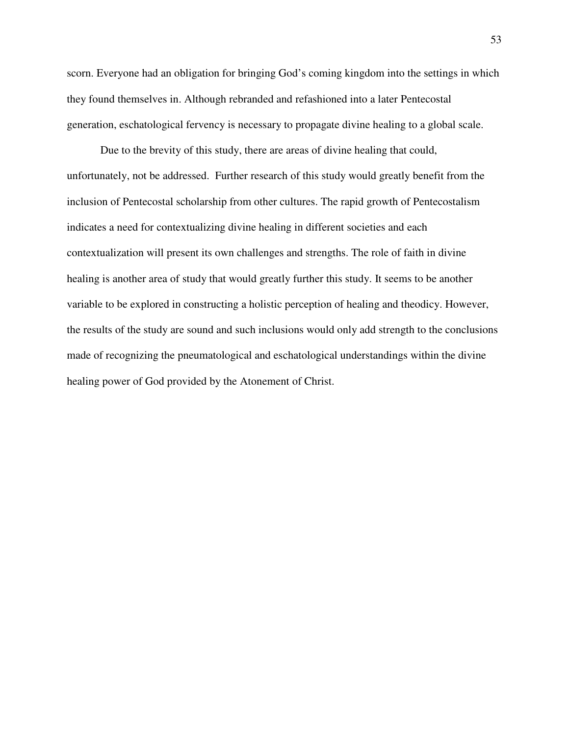scorn. Everyone had an obligation for bringing God's coming kingdom into the settings in which they found themselves in. Although rebranded and refashioned into a later Pentecostal generation, eschatological fervency is necessary to propagate divine healing to a global scale.

Due to the brevity of this study, there are areas of divine healing that could, unfortunately, not be addressed. Further research of this study would greatly benefit from the inclusion of Pentecostal scholarship from other cultures. The rapid growth of Pentecostalism indicates a need for contextualizing divine healing in different societies and each contextualization will present its own challenges and strengths. The role of faith in divine healing is another area of study that would greatly further this study. It seems to be another variable to be explored in constructing a holistic perception of healing and theodicy. However, the results of the study are sound and such inclusions would only add strength to the conclusions made of recognizing the pneumatological and eschatological understandings within the divine healing power of God provided by the Atonement of Christ.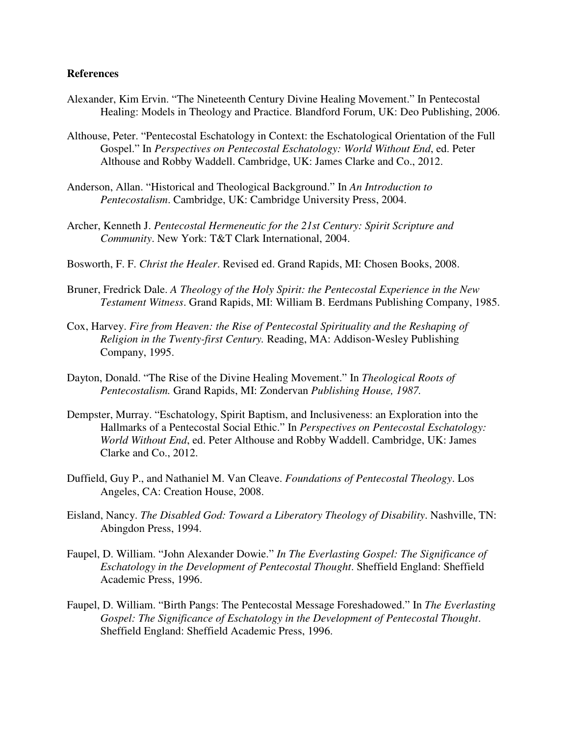## **References**

- Alexander, Kim Ervin. "The Nineteenth Century Divine Healing Movement." In Pentecostal Healing: Models in Theology and Practice. Blandford Forum, UK: Deo Publishing, 2006.
- Althouse, Peter. "Pentecostal Eschatology in Context: the Eschatological Orientation of the Full Gospel." In *Perspectives on Pentecostal Eschatology: World Without End*, ed. Peter Althouse and Robby Waddell. Cambridge, UK: James Clarke and Co., 2012.
- Anderson, Allan. "Historical and Theological Background." In *An Introduction to Pentecostalism*. Cambridge, UK: Cambridge University Press, 2004.
- Archer, Kenneth J. *Pentecostal Hermeneutic for the 21st Century: Spirit Scripture and Community*. New York: T&T Clark International, 2004.
- Bosworth, F. F. *Christ the Healer*. Revised ed. Grand Rapids, MI: Chosen Books, 2008.
- Bruner, Fredrick Dale. *A Theology of the Holy Spirit: the Pentecostal Experience in the New Testament Witness*. Grand Rapids, MI: William B. Eerdmans Publishing Company, 1985.
- Cox, Harvey. *Fire from Heaven: the Rise of Pentecostal Spirituality and the Reshaping of Religion in the Twenty-first Century.* Reading, MA: Addison-Wesley Publishing Company, 1995.
- Dayton, Donald. "The Rise of the Divine Healing Movement." In *Theological Roots of Pentecostalism.* Grand Rapids, MI: Zondervan *Publishing House, 1987.*
- Dempster, Murray. "Eschatology, Spirit Baptism, and Inclusiveness: an Exploration into the Hallmarks of a Pentecostal Social Ethic." In *Perspectives on Pentecostal Eschatology: World Without End*, ed. Peter Althouse and Robby Waddell. Cambridge, UK: James Clarke and Co., 2012.
- Duffield, Guy P., and Nathaniel M. Van Cleave. *Foundations of Pentecostal Theology*. Los Angeles, CA: Creation House, 2008.
- Eisland, Nancy. *The Disabled God: Toward a Liberatory Theology of Disability*. Nashville, TN: Abingdon Press, 1994.
- Faupel, D. William. "John Alexander Dowie." *In The Everlasting Gospel: The Significance of Eschatology in the Development of Pentecostal Thought*. Sheffield England: Sheffield Academic Press, 1996.
- Faupel, D. William. "Birth Pangs: The Pentecostal Message Foreshadowed." In *The Everlasting Gospel: The Significance of Eschatology in the Development of Pentecostal Thought*. Sheffield England: Sheffield Academic Press, 1996.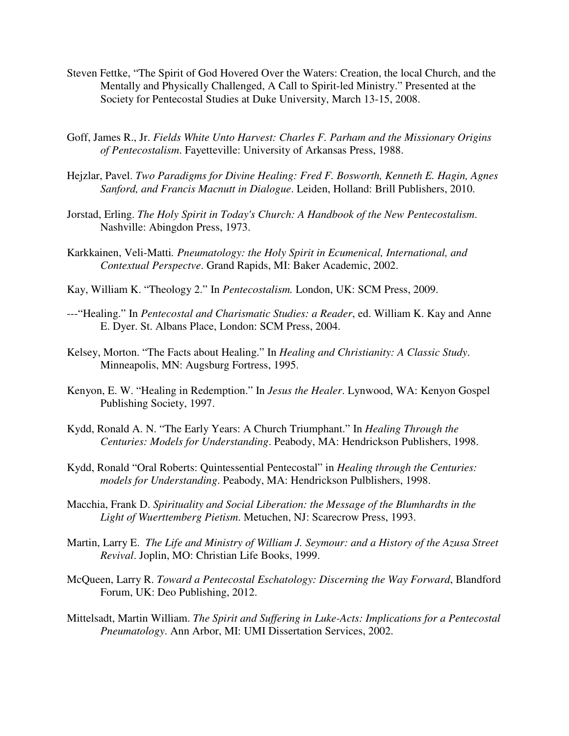- Steven Fettke, "The Spirit of God Hovered Over the Waters: Creation, the local Church, and the Mentally and Physically Challenged, A Call to Spirit-led Ministry." Presented at the Society for Pentecostal Studies at Duke University, March 13-15, 2008.
- Goff, James R., Jr. *Fields White Unto Harvest: Charles F. Parham and the Missionary Origins of Pentecostalism*. Fayetteville: University of Arkansas Press, 1988.
- Hejzlar, Pavel. *Two Paradigms for Divine Healing: Fred F. Bosworth, Kenneth E. Hagin, Agnes Sanford, and Francis Macnutt in Dialogue*. Leiden, Holland: Brill Publishers, 2010.
- Jorstad, Erling. *The Holy Spirit in Today's Church: A Handbook of the New Pentecostalism*. Nashville: Abingdon Press, 1973.
- Karkkainen, Veli-Matti*. Pneumatology: the Holy Spirit in Ecumenical, International, and Contextual Perspectve*. Grand Rapids, MI: Baker Academic, 2002.
- Kay, William K. "Theology 2." In *Pentecostalism.* London, UK: SCM Press, 2009.
- ---"Healing." In *Pentecostal and Charismatic Studies: a Reader*, ed. William K. Kay and Anne E. Dyer. St. Albans Place, London: SCM Press, 2004.
- Kelsey, Morton. "The Facts about Healing." In *Healing and Christianity: A Classic Study*. Minneapolis, MN: Augsburg Fortress, 1995.
- Kenyon, E. W. "Healing in Redemption." In *Jesus the Healer*. Lynwood, WA: Kenyon Gospel Publishing Society, 1997.
- Kydd, Ronald A. N. "The Early Years: A Church Triumphant." In *Healing Through the Centuries: Models for Understanding*. Peabody, MA: Hendrickson Publishers, 1998.
- Kydd, Ronald "Oral Roberts: Quintessential Pentecostal" in *Healing through the Centuries: models for Understanding*. Peabody, MA: Hendrickson Pulblishers, 1998.
- Macchia, Frank D. *Spirituality and Social Liberation: the Message of the Blumhardts in the Light of Wuerttemberg Pietism*. Metuchen, NJ: Scarecrow Press, 1993.
- Martin, Larry E. *The Life and Ministry of William J. Seymour: and a History of the Azusa Street Revival*. Joplin, MO: Christian Life Books, 1999.
- McQueen, Larry R. *Toward a Pentecostal Eschatology: Discerning the Way Forward*, Blandford Forum, UK: Deo Publishing, 2012.
- Mittelsadt, Martin William. *The Spirit and Suffering in Luke-Acts: Implications for a Pentecostal Pneumatology*. Ann Arbor, MI: UMI Dissertation Services, 2002.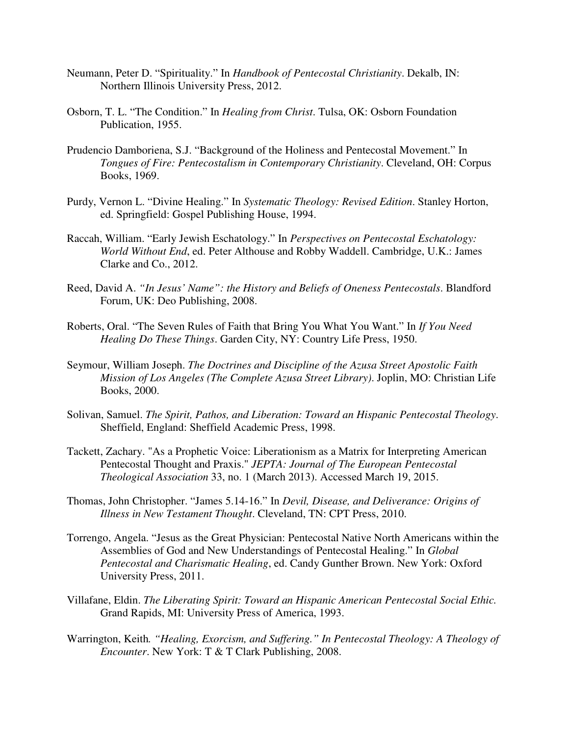- Neumann, Peter D. "Spirituality." In *Handbook of Pentecostal Christianity*. Dekalb, IN: Northern Illinois University Press, 2012.
- Osborn, T. L. "The Condition." In *Healing from Christ*. Tulsa, OK: Osborn Foundation Publication, 1955.
- Prudencio Damboriena, S.J. "Background of the Holiness and Pentecostal Movement." In *Tongues of Fire: Pentecostalism in Contemporary Christianity*. Cleveland, OH: Corpus Books, 1969.
- Purdy, Vernon L. "Divine Healing." In *Systematic Theology: Revised Edition*. Stanley Horton, ed. Springfield: Gospel Publishing House, 1994.
- Raccah, William. "Early Jewish Eschatology." In *Perspectives on Pentecostal Eschatology: World Without End*, ed. Peter Althouse and Robby Waddell. Cambridge, U.K.: James Clarke and Co., 2012.
- Reed, David A. *"In Jesus' Name": the History and Beliefs of Oneness Pentecostals*. Blandford Forum, UK: Deo Publishing, 2008.
- Roberts, Oral. "The Seven Rules of Faith that Bring You What You Want." In *If You Need Healing Do These Things*. Garden City, NY: Country Life Press, 1950.
- Seymour, William Joseph. *The Doctrines and Discipline of the Azusa Street Apostolic Faith Mission of Los Angeles (The Complete Azusa Street Library)*. Joplin, MO: Christian Life Books, 2000.
- Solivan, Samuel. *The Spirit, Pathos, and Liberation: Toward an Hispanic Pentecostal Theology*. Sheffield, England: Sheffield Academic Press, 1998.
- Tackett, Zachary. "As a Prophetic Voice: Liberationism as a Matrix for Interpreting American Pentecostal Thought and Praxis." *JEPTA: Journal of The European Pentecostal Theological Association* 33, no. 1 (March 2013). Accessed March 19, 2015.
- Thomas, John Christopher. "James 5.14-16." In *Devil, Disease, and Deliverance: Origins of Illness in New Testament Thought*. Cleveland, TN: CPT Press, 2010.
- Torrengo, Angela. "Jesus as the Great Physician: Pentecostal Native North Americans within the Assemblies of God and New Understandings of Pentecostal Healing." In *Global Pentecostal and Charismatic Healing*, ed. Candy Gunther Brown. New York: Oxford University Press, 2011.
- Villafane, Eldin. *The Liberating Spirit: Toward an Hispanic American Pentecostal Social Ethic.* Grand Rapids, MI: University Press of America, 1993.
- Warrington, Keith*. "Healing, Exorcism, and Suffering." In Pentecostal Theology: A Theology of Encounter*. New York: T & T Clark Publishing, 2008.